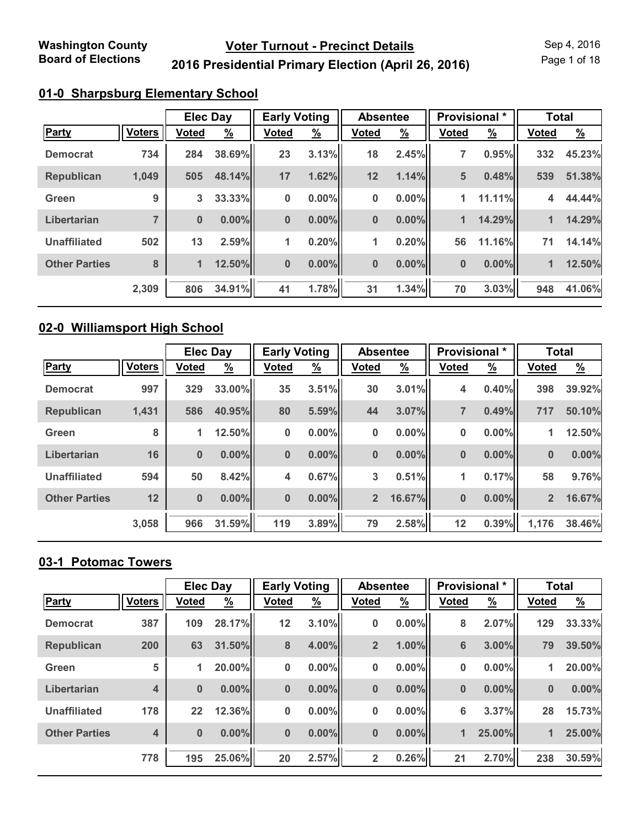Page 1 of 18

## **2016 Presidential Primary Election (April 26, 2016)**

### **01-0 Sharpsburg Elementary School**

|                      |                | <b>Elec Day</b> |               | <b>Early Voting</b> |               | <b>Absentee</b> |               | Provisional * |               | <b>Total</b> |               |
|----------------------|----------------|-----------------|---------------|---------------------|---------------|-----------------|---------------|---------------|---------------|--------------|---------------|
| Party                | <b>Voters</b>  | <b>Voted</b>    | $\frac{9}{6}$ | Voted               | $\frac{9}{6}$ | <b>Voted</b>    | $\frac{9}{6}$ | <b>Voted</b>  | $\frac{9}{6}$ | <b>Voted</b> | $\frac{9}{6}$ |
| <b>Democrat</b>      | 734            | 284             | 38.69%        | 23                  | 3.13%         | 18              | 2.45%         | 7             | 0.95%         | 332          | 45.23%        |
| <b>Republican</b>    | 1,049          | 505             | 48.14%        | 17                  | 1.62%         | 12              | 1.14%         | 5             | 0.48%         | 539          | 51.38%        |
| Green                | 9              | 3               | 33.33%        | $\bf{0}$            | $0.00\%$      | 0               | $0.00\%$      | 1             | 11.11%        | 4            | 44.44%        |
| Libertarian          | $\overline{ }$ | $\bf{0}$        | $0.00\%$      | $\bf{0}$            | $0.00\%$      | $\bf{0}$        | $0.00\%$      | 1             | 14.29%        | 1            | 14.29%        |
| <b>Unaffiliated</b>  | 502            | 13              | 2.59%         | 1                   | 0.20%         | 1               | 0.20%         | 56            | 11.16%        | 71           | 14.14%        |
| <b>Other Parties</b> | 8              | $\mathbf{1}$    | 12.50%        | $\bf{0}$            | $0.00\%$      | $\bf{0}$        | $0.00\%$      | $\bf{0}$      | 0.00%         | 1            | 12.50%        |
|                      | 2,309          | 806             | 34.91%        | 41                  | 1.78%         | 31              | 1.34%         | 70            | 3.03%         | 948          | 41.06%        |

#### **02-0 Williamsport High School**

|                      |               | <b>Elec Day</b> |               | <b>Early Voting</b> |               | <b>Absentee</b> |               | <b>Provisional</b> * |               | <b>Total</b>   |               |
|----------------------|---------------|-----------------|---------------|---------------------|---------------|-----------------|---------------|----------------------|---------------|----------------|---------------|
| <b>Party</b>         | <b>Voters</b> | <b>Voted</b>    | $\frac{9}{6}$ | <b>Voted</b>        | $\frac{9}{6}$ | <b>Voted</b>    | $\frac{9}{6}$ | <b>Voted</b>         | $\frac{9}{6}$ | <b>Voted</b>   | $\frac{9}{6}$ |
| <b>Democrat</b>      | 997           | 329             | 33.00%        | 35                  | 3.51%         | 30              | 3.01%         | 4                    | 0.40%         | 398            | 39.92%        |
| <b>Republican</b>    | 1,431         | 586             | 40.95%        | 80                  | 5.59%         | 44              | 3.07%         | 7                    | 0.49%         | 717            | 50.10%        |
| Green                | 8             | 1               | 12.50%        | $\bf{0}$            | $0.00\%$      | 0               | $0.00\%$      | 0                    | $0.00\%$      | 1              | 12.50%        |
| Libertarian          | 16            | $\bf{0}$        | $0.00\%$      | $\bf{0}$            | $0.00\%$      | $\bf{0}$        | $0.00\%$      | $\bf{0}$             | $0.00\%$      | $\bf{0}$       | $0.00\%$      |
| <b>Unaffiliated</b>  | 594           | 50              | 8.42%         | 4                   | 0.67%         | 3               | 0.51%         | 1                    | 0.17%         | 58             | 9.76%         |
| <b>Other Parties</b> | 12            | $\bf{0}$        | $0.00\%$      | $\bf{0}$            | $0.00\%$      | $\overline{2}$  | 16.67%        | $\bf{0}$             | $0.00\%$      | $\overline{2}$ | 16.67%        |
|                      | 3,058         | 966             | 31.59%        | 119                 | 3.89%         | 79              | 2.58%         | 12                   | 0.39%         | 1,176          | 38.46%        |

# **03-1 Potomac Towers**

|                      |               | <b>Elec Day</b> |               | <b>Early Voting</b> |               | <b>Absentee</b> |               | Provisional * |               | <b>Total</b> |               |
|----------------------|---------------|-----------------|---------------|---------------------|---------------|-----------------|---------------|---------------|---------------|--------------|---------------|
| <b>Party</b>         | <b>Voters</b> | <b>Voted</b>    | $\frac{9}{6}$ | <b>Voted</b>        | $\frac{9}{6}$ | <b>Voted</b>    | $\frac{9}{6}$ | <b>Voted</b>  | $\frac{9}{6}$ | <b>Voted</b> | $\frac{9}{6}$ |
| <b>Democrat</b>      | 387           | 109             | 28.17%        | 12                  | 3.10%         | 0               | $0.00\%$      | 8             | 2.07%         | 129          | 33.33%        |
| <b>Republican</b>    | 200           | 63              | 31.50%        | 8                   | 4.00%         | $\overline{2}$  | 1.00%         | 6             | $3.00\%$      | 79           | 39.50%        |
| Green                | 5             | 1               | 20.00%        | 0                   | $0.00\%$      | 0               | 0.00%         | 0             | $0.00\%$      | 1            | 20.00%        |
| Libertarian          | 4             | $\bf{0}$        | $0.00\%$      | $\bf{0}$            | $0.00\%$      | $\bf{0}$        | $0.00\%$      | $\bf{0}$      | $0.00\%$      | $\bf{0}$     | $0.00\%$      |
| <b>Unaffiliated</b>  | 178           | 22              | 12.36%        | 0                   | $0.00\%$      | 0               | 0.00%         | 6             | 3.37%         | 28           | 15.73%        |
| <b>Other Parties</b> | 4             | $\bf{0}$        | $0.00\%$      | $\bf{0}$            | $0.00\%$      | $\bf{0}$        | $0.00\%$      | $\mathbf{1}$  | 25.00%        | 1            | 25.00%        |
|                      | 778           | 195             | 25.06%        | 20                  | 2.57%         | $\overline{2}$  | 0.26%         | 21            | 2.70%         | 238          | 30.59%        |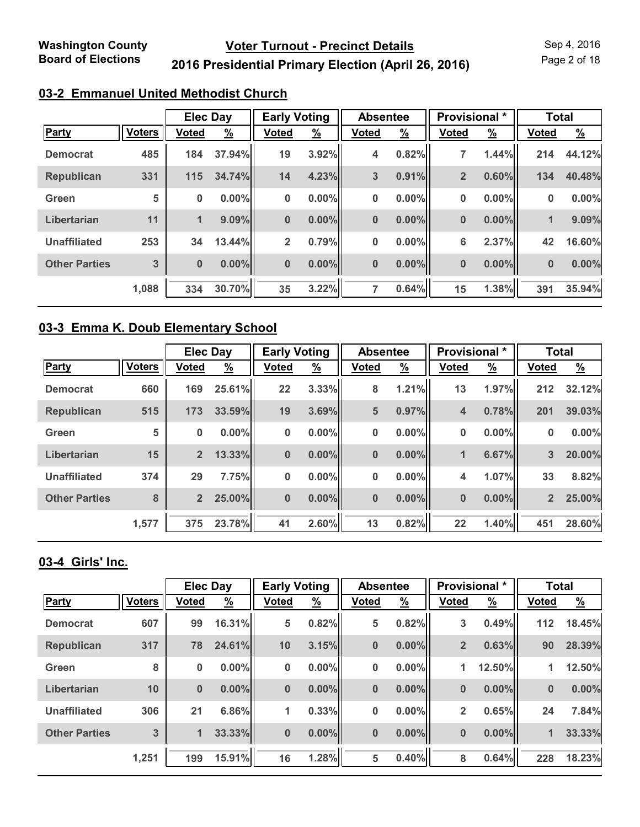Page 2 of 18

## **2016 Presidential Primary Election (April 26, 2016)**

### **03-2 Emmanuel United Methodist Church**

|                      |               | <b>Elec Day</b> |               | <b>Early Voting</b> |               | <b>Absentee</b> |          | <b>Provisional</b> * |               | <b>Total</b> |               |
|----------------------|---------------|-----------------|---------------|---------------------|---------------|-----------------|----------|----------------------|---------------|--------------|---------------|
| <b>Party</b>         | <b>Voters</b> | <b>Voted</b>    | $\frac{9}{6}$ | <b>Voted</b>        | $\frac{9}{6}$ | <b>Voted</b>    | <u>%</u> | <b>Voted</b>         | $\frac{9}{6}$ | <b>Voted</b> | $\frac{9}{6}$ |
| <b>Democrat</b>      | 485           | 184             | 37.94%        | 19                  | 3.92%         | 4               | 0.82%    | 7                    | 1.44%         | 214          | 44.12%        |
| <b>Republican</b>    | 331           | 115             | 34.74%        | 14                  | 4.23%         | 3               | 0.91%    | $\overline{2}$       | 0.60%         | 134          | 40.48%        |
| Green                | 5             | 0               | $0.00\%$      | $\bf{0}$            | $0.00\%$      | 0               | $0.00\%$ | 0                    | 0.00%         | 0            | 0.00%         |
| Libertarian          | 11            | $\blacksquare$  | $9.09\%$      | $\bf{0}$            | $0.00\%$      | $\bf{0}$        | $0.00\%$ | $\bf{0}$             | 0.00%         | 1            | 9.09%         |
| <b>Unaffiliated</b>  | 253           | 34              | 13.44%        | $\overline{2}$      | 0.79%         | 0               | $0.00\%$ | 6                    | 2.37%         | 42           | 16.60%        |
| <b>Other Parties</b> | 3             | $\bf{0}$        | $0.00\%$      | $\bf{0}$            | $0.00\%$      | $\bf{0}$        | $0.00\%$ | 0                    | 0.00%         | $\bf{0}$     | 0.00%         |
|                      | 1,088         | 334             | 30.70%        | 35                  | 3.22%         | 7               | 0.64%    | 15                   | 1.38%         | 391          | 35.94%        |

#### **03-3 Emma K. Doub Elementary School**

|                      |               | <b>Elec Day</b> |          | <b>Early Voting</b> |               | <b>Absentee</b> |               | Provisional * |               | <b>Total</b>   |               |
|----------------------|---------------|-----------------|----------|---------------------|---------------|-----------------|---------------|---------------|---------------|----------------|---------------|
| <b>Party</b>         | <b>Voters</b> | <b>Voted</b>    | <u>%</u> | <b>Voted</b>        | $\frac{9}{6}$ | <b>Voted</b>    | $\frac{9}{6}$ | <b>Voted</b>  | $\frac{9}{6}$ | <b>Voted</b>   | $\frac{9}{6}$ |
| <b>Democrat</b>      | 660           | 169             | 25.61%   | 22                  | 3.33%         | 8               | 1.21%         | 13            | 1.97%         | 212            | 32.12%        |
| <b>Republican</b>    | 515           | 173             | 33.59%   | 19                  | 3.69%         | 5               | 0.97%         | 4             | 0.78%         | 201            | 39.03%        |
| Green                | 5             | 0               | $0.00\%$ | $\bf{0}$            | $0.00\%$      | 0               | $0.00\%$      | 0             | $0.00\%$      | 0              | $0.00\%$      |
| Libertarian          | 15            | $\overline{2}$  | 13.33%   | $\bf{0}$            | $0.00\%$      | $\bf{0}$        | $0.00\%$      | 1             | 6.67%         | 3              | 20.00%        |
| <b>Unaffiliated</b>  | 374           | 29              | 7.75%    | $\bf{0}$            | $0.00\%$      | 0               | $0.00\%$      | 4             | 1.07%         | 33             | 8.82%         |
| <b>Other Parties</b> | 8             | $\overline{2}$  | 25.00%   | $\bf{0}$            | $0.00\%$      | $\bf{0}$        | $0.00\%$      | $\bf{0}$      | $0.00\%$      | $\overline{2}$ | 25.00%        |
|                      | 1,577         | 375             | 23.78%   | 41                  | 2.60%         | 13              | 0.82%         | 22            | 1.40%         | 451            | 28.60%        |

#### **03-4 Girls' Inc.**

|                      |               | <b>Elec Day</b> |          | <b>Early Voting</b> |               | <b>Absentee</b> |               | Provisional *  |               | <b>Total</b> |               |
|----------------------|---------------|-----------------|----------|---------------------|---------------|-----------------|---------------|----------------|---------------|--------------|---------------|
| <b>Party</b>         | <b>Voters</b> | <b>Voted</b>    | <u>%</u> | <b>Voted</b>        | $\frac{9}{6}$ | <b>Voted</b>    | $\frac{9}{6}$ | <b>Voted</b>   | $\frac{9}{6}$ | <b>Voted</b> | $\frac{9}{6}$ |
| <b>Democrat</b>      | 607           | 99              | 16.31%   | 5                   | 0.82%         | 5               | 0.82%         | 3              | 0.49%         | 112          | 18.45%        |
| <b>Republican</b>    | 317           | 78              | 24.61%   | 10                  | 3.15%         | $\bf{0}$        | $0.00\%$      | $\overline{2}$ | 0.63%         | 90           | 28.39%        |
| Green                | 8             | 0               | $0.00\%$ | $\bf{0}$            | $0.00\%$      | 0               | 0.00%         | 1              | 12.50%        | 1            | 12.50%        |
| Libertarian          | 10            | $\bf{0}$        | $0.00\%$ | $\bf{0}$            | $0.00\%$      | $\bf{0}$        | $0.00\%$      | $\bf{0}$       | $0.00\%$      | $\bf{0}$     | 0.00%         |
| <b>Unaffiliated</b>  | 306           | 21              | 6.86%    | 1                   | 0.33%         | 0               | 0.00%         | $\overline{2}$ | 0.65%         | 24           | 7.84%         |
| <b>Other Parties</b> | 3             | 1               | 33.33%   | $\bf{0}$            | $0.00\%$      | $\bf{0}$        | $0.00\%$      | 0              | $0.00\%$      | 1            | 33.33%        |
|                      | 1,251         | 199             | 15.91%   | 16                  | 1.28%         | 5               | 0.40%         | 8              | 0.64%         | 228          | 18.23%        |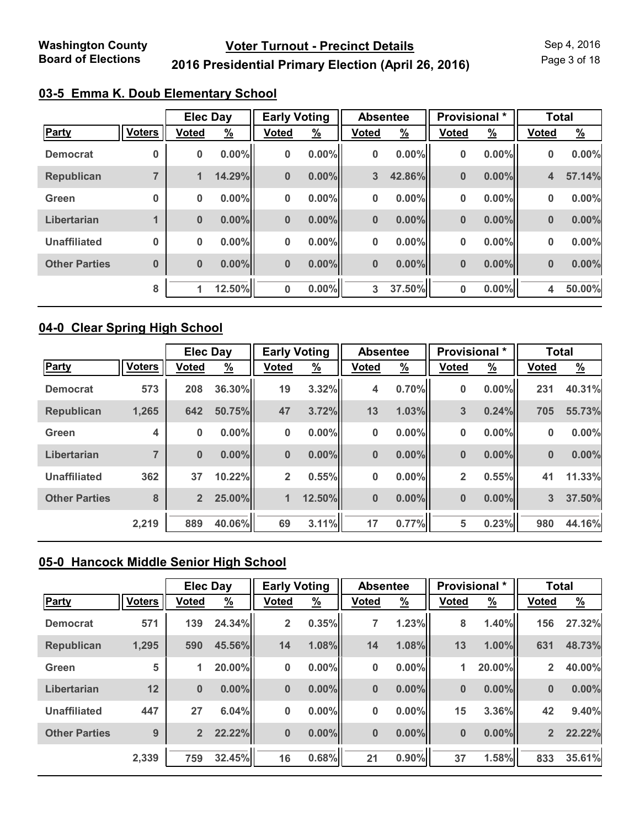Page 3 of 18

## **2016 Presidential Primary Election (April 26, 2016)**

|  |  | 03-5 Emma K. Doub Elementary School |  |
|--|--|-------------------------------------|--|
|  |  |                                     |  |

|                      |               | <b>Elec Day</b> |               | <b>Early Voting</b> |               | <b>Absentee</b> |               | Provisional * |               | <b>Total</b>            |               |
|----------------------|---------------|-----------------|---------------|---------------------|---------------|-----------------|---------------|---------------|---------------|-------------------------|---------------|
| Party                | <b>Voters</b> | <b>Voted</b>    | $\frac{9}{6}$ | <b>Voted</b>        | $\frac{9}{6}$ | <b>Voted</b>    | $\frac{9}{6}$ | <b>Voted</b>  | $\frac{9}{6}$ | <b>Voted</b>            | $\frac{9}{6}$ |
| <b>Democrat</b>      | 0             | 0               | $0.00\%$      | 0                   | $0.00\%$      | 0               | $0.00\%$      | 0             | $0.00\%$      | 0                       | 0.00%         |
| <b>Republican</b>    | 7             | 1               | 14.29%        | $\bf{0}$            | $0.00\%$      | 3               | 42.86%        | 0             | $0.00\%$      | $\overline{\mathbf{4}}$ | 57.14%        |
| Green                | $\bf{0}$      | $\bf{0}$        | $0.00\%$      | 0                   | $0.00\%$      | 0               | 0.00%         | 0             | $0.00\%$      | 0                       | 0.00%         |
| Libertarian          | 1             | $\bf{0}$        | $0.00\%$      | $\bf{0}$            | $0.00\%$      | $\pmb{0}$       | $0.00\%$      | $\bf{0}$      | $0.00\%$      | $\bf{0}$                | 0.00%         |
| <b>Unaffiliated</b>  | $\bf{0}$      | 0               | $0.00\%$      | 0                   | $0.00\%$      | 0               | $0.00\%$      | 0             | $0.00\%$      | 0                       | 0.00%         |
| <b>Other Parties</b> | $\bf{0}$      | $\bf{0}$        | $0.00\%$      | $\bf{0}$            | $0.00\%$      | $\pmb{0}$       | $0.00\%$      | 0             | $0.00\%$      | $\bf{0}$                | 0.00%         |
|                      | 8             | 1               | 12.50%        | $\bf{0}$            | $0.00\%$      | 3               | 37.50%        | 0             | $0.00\%$      | 4                       | 50.00%        |

#### **04-0 Clear Spring High School**

|                      |                | <b>Elec Day</b> |               | <b>Early Voting</b> |               | <b>Absentee</b> |               | Provisional * |               | <b>Total</b> |          |
|----------------------|----------------|-----------------|---------------|---------------------|---------------|-----------------|---------------|---------------|---------------|--------------|----------|
| <b>Party</b>         | <b>Voters</b>  | <b>Voted</b>    | $\frac{9}{6}$ | <b>Voted</b>        | $\frac{9}{6}$ | <b>Voted</b>    | $\frac{9}{6}$ | <b>Voted</b>  | $\frac{9}{6}$ | <b>Voted</b> | <u>%</u> |
| <b>Democrat</b>      | 573            | 208             | 36.30%        | 19                  | 3.32%         | 4               | 0.70%         | 0             | $0.00\%$      | 231          | 40.31%   |
| <b>Republican</b>    | 1,265          | 642             | 50.75%        | 47                  | 3.72%         | 13              | 1.03%         | 3             | 0.24%         | 705          | 55.73%   |
| Green                | 4              | 0               | $0.00\%$      | $\bf{0}$            | $0.00\%$      | 0               | $0.00\%$      | 0             | $0.00\%$      | 0            | 0.00%    |
| Libertarian          | $\overline{7}$ | $\bf{0}$        | $0.00\%$      | $\bf{0}$            | $0.00\%$      | $\bf{0}$        | $0.00\%$      | $\bf{0}$      | $0.00\%$      | $\bf{0}$     | 0.00%    |
| <b>Unaffiliated</b>  | 362            | 37              | 10.22%        | $\overline{2}$      | 0.55%         | 0               | $0.00\%$      | 2             | 0.55%         | 41           | 11.33%   |
| <b>Other Parties</b> | 8              | $\overline{2}$  | 25.00%        | $\mathbf{1}$        | 12.50%        | $\bf{0}$        | $0.00\%$      | $\bf{0}$      | $0.00\%$      | 3            | 37.50%   |
|                      | 2,219          | 889             | 40.06%        | 69                  | 3.11%         | 17              | 0.77%         | 5             | 0.23%         | 980          | 44.16%   |

## **05-0 Hancock Middle Senior High School**

|                      |               | <b>Elec Day</b> |               | <b>Early Voting</b> |               | <b>Absentee</b> |               | <b>Provisional</b> * |               | <b>Total</b>   |               |
|----------------------|---------------|-----------------|---------------|---------------------|---------------|-----------------|---------------|----------------------|---------------|----------------|---------------|
| Party                | <b>Voters</b> | <b>Voted</b>    | $\frac{9}{6}$ | <b>Voted</b>        | $\frac{9}{6}$ | <b>Voted</b>    | $\frac{9}{6}$ | <b>Voted</b>         | $\frac{9}{6}$ | <b>Voted</b>   | $\frac{9}{6}$ |
| <b>Democrat</b>      | 571           | 139             | 24.34%        | $\overline{2}$      | 0.35%         | 7               | 1.23%         | 8                    | 1.40%         | 156            | 27.32%        |
| <b>Republican</b>    | 1,295         | 590             | 45.56%        | 14                  | 1.08%         | 14              | 1.08%         | 13                   | 1.00%         | 631            | 48.73%        |
| Green                | 5             | 1               | 20.00%        | 0                   | $0.00\%$      | 0               | 0.00%         | 1                    | 20.00%        | $\overline{2}$ | 40.00%        |
| Libertarian          | 12            | $\bf{0}$        | $0.00\%$      | $\bf{0}$            | $0.00\%$      | $\bf{0}$        | 0.00%         | $\bf{0}$             | $0.00\%$      | $\bf{0}$       | 0.00%         |
| <b>Unaffiliated</b>  | 447           | 27              | 6.04%         | 0                   | $0.00\%$      | 0               | 0.00%         | 15                   | 3.36%         | 42             | 9.40%         |
| <b>Other Parties</b> | 9             | $\overline{2}$  | 22.22%        | $\bf{0}$            | $0.00\%$      | $\pmb{0}$       | 0.00%         | $\bf{0}$             | $0.00\%$      | 2 <sup>2</sup> | 22.22%        |
|                      | 2,339         | 759             | 32.45%        | 16                  | 0.68%         | 21              | 0.90%         | 37                   | 1.58%         | 833            | 35.61%        |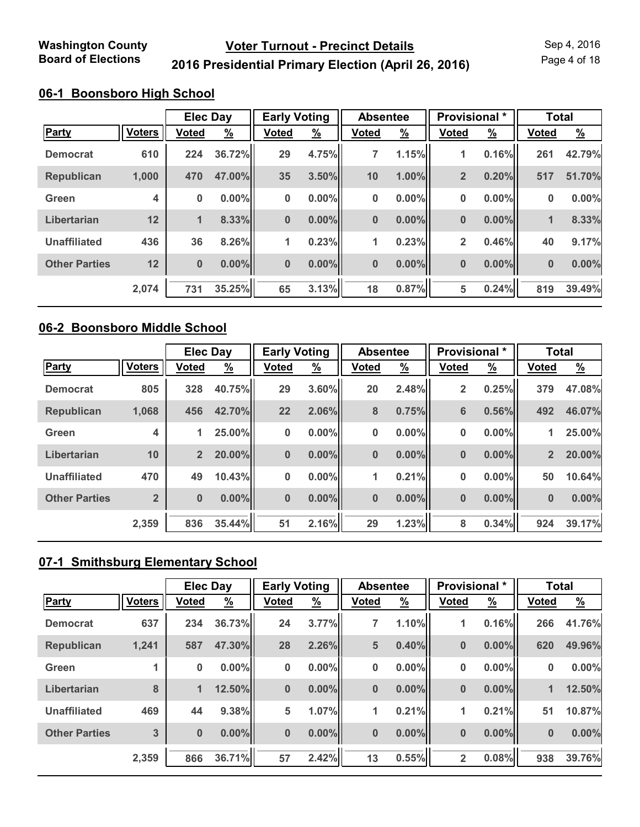Page 4 of 18

## **2016 Presidential Primary Election (April 26, 2016)**

#### **06-1 Boonsboro High School**

|                      |               | <b>Elec Day</b> |               | <b>Early Voting</b> |               | <b>Absentee</b> |               | Provisional *  |               | <b>Total</b> |               |
|----------------------|---------------|-----------------|---------------|---------------------|---------------|-----------------|---------------|----------------|---------------|--------------|---------------|
| <b>Party</b>         | <b>Voters</b> | <b>Voted</b>    | $\frac{9}{6}$ | <b>Voted</b>        | $\frac{9}{6}$ | <b>Voted</b>    | $\frac{9}{6}$ | <b>Voted</b>   | $\frac{9}{6}$ | <b>Voted</b> | $\frac{9}{6}$ |
| <b>Democrat</b>      | 610           | 224             | 36.72%        | 29                  | 4.75%         | 7               | 1.15%         | 1              | 0.16%         | 261          | 42.79%        |
| <b>Republican</b>    | 1,000         | 470             | 47.00%        | 35                  | 3.50%         | 10              | 1.00%         | $\overline{2}$ | 0.20%         | 517          | 51.70%        |
| Green                | 4             | $\bf{0}$        | $0.00\%$      | 0                   | $0.00\%$      | 0               | $0.00\%$      | 0              | $0.00\%$      | 0            | $0.00\%$      |
| Libertarian          | 12            | 1               | 8.33%         | $\bf{0}$            | $0.00\%$      | $\bf{0}$        | $0.00\%$      | 0              | 0.00%         | $\mathbf 1$  | 8.33%         |
| <b>Unaffiliated</b>  | 436           | 36              | 8.26%         | 1                   | 0.23%         | 1               | 0.23%         | $\overline{2}$ | 0.46%         | 40           | 9.17%         |
| <b>Other Parties</b> | 12            | $\bf{0}$        | $0.00\%$      | $\bf{0}$            | $0.00\%$      | $\bf{0}$        | $0.00\%$      | $\bf{0}$       | 0.00%         | $\bf{0}$     | 0.00%         |
|                      | 2,074         | 731             | 35.25%        | 65                  | 3.13%         | 18              | 0.87%         | 5              | 0.24%         | 819          | 39.49%        |

#### **06-2 Boonsboro Middle School**

|                      |                | <b>Elec Day</b> |          | <b>Early Voting</b> |               | <b>Absentee</b> |               | Provisional *  |               | <b>Total</b>   |          |
|----------------------|----------------|-----------------|----------|---------------------|---------------|-----------------|---------------|----------------|---------------|----------------|----------|
| <b>Party</b>         | <b>Voters</b>  | <b>Voted</b>    | <u>%</u> | <b>Voted</b>        | $\frac{9}{6}$ | <b>Voted</b>    | $\frac{9}{6}$ | <b>Voted</b>   | $\frac{9}{6}$ | <b>Voted</b>   | <u>%</u> |
| <b>Democrat</b>      | 805            | 328             | 40.75%   | 29                  | 3.60%         | 20              | 2.48%         | $\overline{2}$ | 0.25%         | 379            | 47.08%   |
| <b>Republican</b>    | 1,068          | 456             | 42.70%   | 22                  | 2.06%         | 8               | 0.75%         | 6              | 0.56%         | 492            | 46.07%   |
| Green                | 4              | 1               | 25.00%   | $\bf{0}$            | $0.00\%$      | 0               | $0.00\%$      | 0              | $0.00\%$      | 1              | 25.00%   |
| Libertarian          | 10             | 2 <sup>2</sup>  | 20.00%   | $\bf{0}$            | $0.00\%$      | $\bf{0}$        | $0.00\%$      | $\bf{0}$       | $0.00\%$      | $\overline{2}$ | 20.00%   |
| <b>Unaffiliated</b>  | 470            | 49              | 10.43%   | $\bf{0}$            | $0.00\%$      | 1               | 0.21%         | 0              | $0.00\%$      | 50             | 10.64%   |
| <b>Other Parties</b> | $\overline{2}$ | $\bf{0}$        | $0.00\%$ | $\bf{0}$            | $0.00\%$      | $\bf{0}$        | $0.00\%$      | $\bf{0}$       | $0.00\%$      | $\bf{0}$       | 0.00%    |
|                      | 2,359          | 836             | 35.44%   | 51                  | 2.16%         | 29              | 1.23%         | 8              | 0.34%         | 924            | 39.17%   |

## **07-1 Smithsburg Elementary School**

|                      |               | <b>Elec Day</b> |          | <b>Early Voting</b> |               | <b>Absentee</b> |               | Provisional *  |               | <b>Total</b> |               |
|----------------------|---------------|-----------------|----------|---------------------|---------------|-----------------|---------------|----------------|---------------|--------------|---------------|
| <b>Party</b>         | <b>Voters</b> | <b>Voted</b>    | <u>%</u> | <b>Voted</b>        | $\frac{9}{6}$ | <b>Voted</b>    | $\frac{9}{6}$ | <b>Voted</b>   | $\frac{9}{6}$ | <b>Voted</b> | $\frac{9}{6}$ |
| <b>Democrat</b>      | 637           | 234             | 36.73%   | 24                  | 3.77%         | 7               | 1.10%         | 1              | 0.16%         | 266          | 41.76%        |
| <b>Republican</b>    | 1,241         | 587             | 47.30%   | 28                  | 2.26%         | 5               | 0.40%         | $\bf{0}$       | 0.00%         | 620          | 49.96%        |
| Green                |               | 0               | 0.00%    | $\bf{0}$            | $0.00\%$      | 0               | 0.00%         | 0              | $0.00\%$      | $\bf{0}$     | 0.00%         |
| Libertarian          | 8             | 1               | 12.50%   | $\bf{0}$            | $0.00\%$      | $\bf{0}$        | $0.00\%$      | $\bf{0}$       | $0.00\%$      | 1            | 12.50%        |
| <b>Unaffiliated</b>  | 469           | 44              | 9.38%    | 5                   | 1.07%         | 1               | 0.21%         | 1              | 0.21%         | 51           | 10.87%        |
| <b>Other Parties</b> | 3             | $\bf{0}$        | $0.00\%$ | $\bf{0}$            | $0.00\%$      | $\bf{0}$        | $0.00\%$      | $\bf{0}$       | $0.00\%$      | $\bf{0}$     | 0.00%         |
|                      | 2,359         | 866             | 36.71%   | 57                  | 2.42%         | 13              | 0.55%         | $\overline{2}$ | 0.08%         | 938          | 39.76%        |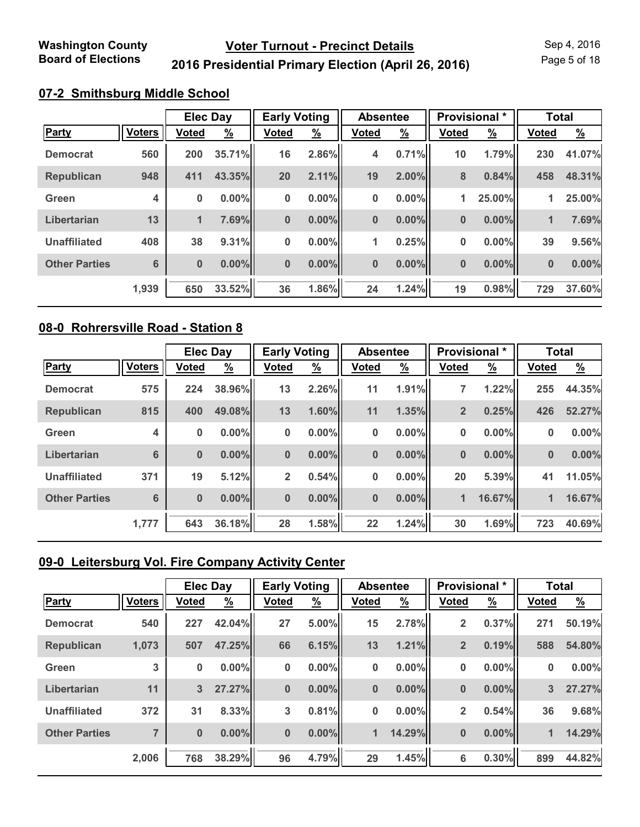Page 5 of 18

## **2016 Presidential Primary Election (April 26, 2016)**

#### **07-2 Smithsburg Middle School**

|                      |                 | <b>Elec Day</b> |               | <b>Early Voting</b> |               | <b>Absentee</b> |               | Provisional * |               | <b>Total</b> |               |
|----------------------|-----------------|-----------------|---------------|---------------------|---------------|-----------------|---------------|---------------|---------------|--------------|---------------|
| Party                | <b>Voters</b>   | <b>Voted</b>    | $\frac{9}{6}$ | <b>Voted</b>        | $\frac{9}{6}$ | <b>Voted</b>    | $\frac{9}{6}$ | <b>Voted</b>  | $\frac{9}{6}$ | <b>Voted</b> | $\frac{9}{6}$ |
| <b>Democrat</b>      | 560             | 200             | 35.71%        | 16                  | 2.86%         | 4               | 0.71%         | 10            | 1.79%         | 230          | 41.07%        |
| <b>Republican</b>    | 948             | 411             | 43.35%        | 20                  | 2.11%         | 19              | $2.00\%$      | 8             | 0.84%         | 458          | 48.31%        |
| Green                | 4               | $\bf{0}$        | $0.00\%$      | $\bf{0}$            | $0.00\%$      | $\bf{0}$        | $0.00\%$      | 1             | 25.00%        | 1            | 25.00%        |
| Libertarian          | 13              | $\mathbf{1}$    | 7.69%         | $\bf{0}$            | $0.00\%$      | $\bf{0}$        | $0.00\%$      | 0             | $0.00\%$      | $\mathbf 1$  | 7.69%         |
| <b>Unaffiliated</b>  | 408             | 38              | 9.31%         | 0                   | $0.00\%$      | 1               | 0.25%         | 0             | 0.00%         | 39           | 9.56%         |
| <b>Other Parties</b> | $6\phantom{1}6$ | $\bf{0}$        | $0.00\%$      | $\bf{0}$            | $0.00\%$      | $\bf{0}$        | $0.00\%$      | $\bf{0}$      | 0.00%         | $\bf{0}$     | 0.00%         |
|                      | 1,939           | 650             | 33.52%        | 36                  | 1.86%         | 24              | 1.24%         | 19            | 0.98%         | 729          | 37.60%        |

#### **08-0 Rohrersville Road - Station 8**

|                      |                 | <b>Elec Day</b> |               | <b>Early Voting</b> |               | <b>Absentee</b> |               | <b>Provisional</b> * |               | <b>Total</b> |               |
|----------------------|-----------------|-----------------|---------------|---------------------|---------------|-----------------|---------------|----------------------|---------------|--------------|---------------|
| <b>Party</b>         | <b>Voters</b>   | <b>Voted</b>    | $\frac{9}{6}$ | <b>Voted</b>        | $\frac{9}{6}$ | <b>Voted</b>    | $\frac{9}{6}$ | <b>Voted</b>         | $\frac{9}{6}$ | <b>Voted</b> | $\frac{9}{6}$ |
| <b>Democrat</b>      | 575             | 224             | 38.96%        | 13                  | 2.26%         | 11              | 1.91%         | 7                    | 1.22%         | 255          | 44.35%        |
| Republican           | 815             | 400             | 49.08%        | 13                  | 1.60%         | 11              | 1.35%         | $\overline{2}$       | 0.25%         | 426          | 52.27%        |
| Green                | 4               | 0               | $0.00\%$      | $\bf{0}$            | $0.00\%$      | 0               | $0.00\%$      | 0                    | $0.00\%$      | 0            | 0.00%         |
| Libertarian          | 6               | $\bf{0}$        | $0.00\%$      | $\bf{0}$            | $0.00\%$      | $\bf{0}$        | $0.00\%$      | $\bf{0}$             | $0.00\%$      | $\bf{0}$     | 0.00%         |
| <b>Unaffiliated</b>  | 371             | 19              | 5.12%         | $\overline{2}$      | 0.54%         | 0               | $0.00\%$      | 20                   | 5.39%         | 41           | 11.05%        |
| <b>Other Parties</b> | $6\phantom{1}6$ | $\bf{0}$        | $0.00\%$      | $\bf{0}$            | $0.00\%$      | $\bf{0}$        | $0.00\%$      | 1                    | 16.67%        | 1            | 16.67%        |
|                      | 1,777           | 643             | 36.18%        | 28                  | 1.58%         | 22              | 1.24%         | 30                   | 1.69%         | 723          | 40.69%        |

## **09-0 Leitersburg Vol. Fire Company Activity Center**

|                      |               | <b>Elec Day</b> |               | <b>Early Voting</b> |               | <b>Absentee</b> |               | Provisional *           |          | <b>Total</b> |               |
|----------------------|---------------|-----------------|---------------|---------------------|---------------|-----------------|---------------|-------------------------|----------|--------------|---------------|
| <b>Party</b>         | <b>Voters</b> | <b>Voted</b>    | $\frac{9}{6}$ | <b>Voted</b>        | $\frac{9}{6}$ | <b>Voted</b>    | $\frac{9}{6}$ | <b>Voted</b>            | <u>%</u> | <b>Voted</b> | $\frac{9}{6}$ |
| <b>Democrat</b>      | 540           | 227             | 42.04%        | 27                  | 5.00%         | 15              | 2.78%         | $\overline{\mathbf{2}}$ | 0.37%    | 271          | 50.19%        |
| <b>Republican</b>    | 1,073         | 507             | 47.25%        | 66                  | 6.15%         | 13              | 1.21%         | $\overline{2}$          | 0.19%    | 588          | 54.80%        |
| Green                | 3             | 0               | $0.00\%$      | $\bf{0}$            | $0.00\%$      | 0               | 0.00%         | 0                       | $0.00\%$ | $\bf{0}$     | 0.00%         |
| Libertarian          | 11            | $\mathbf{3}$    | 27.27%        | $\bf{0}$            | $0.00\%$      | $\bf{0}$        | 0.00%         | $\bf{0}$                | $0.00\%$ | 3            | 27.27%        |
| <b>Unaffiliated</b>  | 372           | 31              | 8.33%         | 3                   | 0.81%         | 0               | 0.00%         | $\overline{2}$          | 0.54%    | 36           | 9.68%         |
| <b>Other Parties</b> | ⇁             | $\bf{0}$        | $0.00\%$      | $\bf{0}$            | $0.00\%$      | 1               | 14.29%        | $\bf{0}$                | 0.00%    | $\mathbf{1}$ | 14.29%        |
|                      | 2,006         | 768             | 38.29%        | 96                  | 4.79%         | 29              | 1.45%         | 6                       | 0.30%    | 899          | 44.82%        |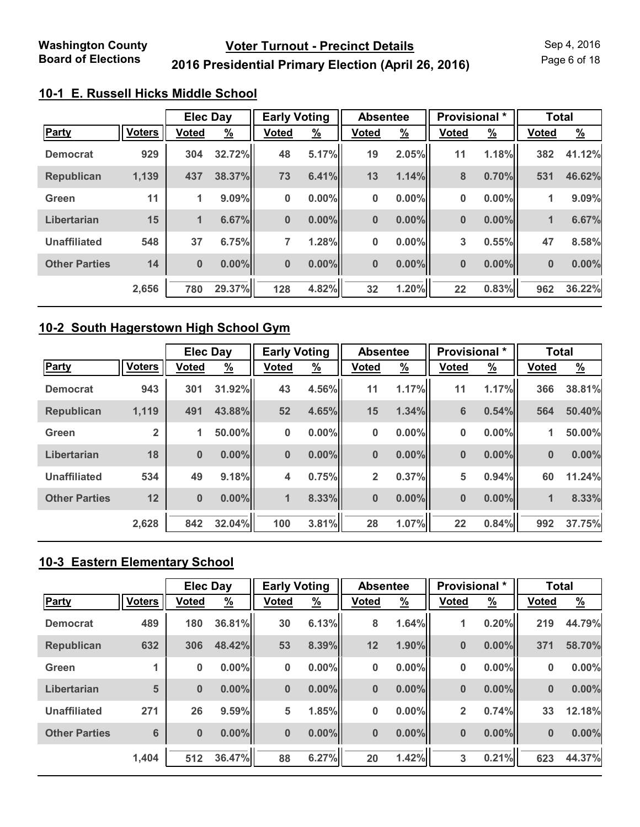Page 6 of 18

## **2016 Presidential Primary Election (April 26, 2016)**

## **10-1 E. Russell Hicks Middle School**

|                      |               | <b>Elec Day</b> |               | <b>Early Voting</b> |               | <b>Absentee</b> |               | <b>Provisional</b> * |               | <b>Total</b> |               |
|----------------------|---------------|-----------------|---------------|---------------------|---------------|-----------------|---------------|----------------------|---------------|--------------|---------------|
| Party                | <b>Voters</b> | <b>Voted</b>    | $\frac{9}{6}$ | <b>Voted</b>        | $\frac{9}{6}$ | <b>Voted</b>    | $\frac{9}{6}$ | <b>Voted</b>         | $\frac{9}{6}$ | <b>Voted</b> | $\frac{9}{6}$ |
| <b>Democrat</b>      | 929           | 304             | 32.72%        | 48                  | 5.17%         | 19              | 2.05%         | 11                   | 1.18%         | 382          | 41.12%        |
| <b>Republican</b>    | 1,139         | 437             | 38.37%        | 73                  | 6.41%         | 13              | 1.14%         | 8                    | 0.70%         | 531          | 46.62%        |
| Green                | 11            | 1               | 9.09%         | 0                   | $0.00\%$      | $\pmb{0}$       | 0.00%         | 0                    | $0.00\%$      | $\mathbf 1$  | 9.09%         |
| Libertarian          | 15            | 1               | 6.67%         | $\bf{0}$            | $0.00\%$      | $\bf{0}$        | $0.00\%$      | $\bf{0}$             | 0.00%         | $\mathbf 1$  | 6.67%         |
| <b>Unaffiliated</b>  | 548           | 37              | 6.75%         | 7                   | 1.28%         | 0               | 0.00%         | 3                    | 0.55%         | 47           | 8.58%         |
| <b>Other Parties</b> | 14            | $\bf{0}$        | $0.00\%$      | $\bf{0}$            | $0.00\%$      | $\bf{0}$        | $0.00\%$      | $\bf{0}$             | 0.00%         | $\bf{0}$     | 0.00%         |
|                      | 2,656         | 780             | 29.37%        | 128                 | 4.82%         | 32              | 1.20%         | 22                   | 0.83%         | 962          | 36.22%        |

#### **10-2 South Hagerstown High School Gym**

|                      |                | <b>Elec Day</b> |          | <b>Early Voting</b> |               | <b>Absentee</b> |               | Provisional *   |               | <b>Total</b> |               |
|----------------------|----------------|-----------------|----------|---------------------|---------------|-----------------|---------------|-----------------|---------------|--------------|---------------|
| <b>Party</b>         | <b>Voters</b>  | <b>Voted</b>    | <u>%</u> | <b>Voted</b>        | $\frac{9}{6}$ | <b>Voted</b>    | $\frac{9}{6}$ | <b>Voted</b>    | $\frac{9}{6}$ | <b>Voted</b> | $\frac{9}{6}$ |
| <b>Democrat</b>      | 943            | 301             | 31.92%   | 43                  | 4.56%         | 11              | 1.17%         | 11              | 1.17%         | 366          | 38.81%        |
| <b>Republican</b>    | 1,119          | 491             | 43.88%   | 52                  | 4.65%         | 15              | 1.34%         | $6\phantom{1}6$ | 0.54%         | 564          | 50.40%        |
| Green                | $\overline{2}$ | $\mathbf{1}$    | 50.00%   | $\bf{0}$            | $0.00\%$      | 0               | $0.00\%$      | 0               | $0.00\%$      | 1            | 50.00%        |
| Libertarian          | 18             | $\bf{0}$        | $0.00\%$ | $\bf{0}$            | $0.00\%$      | $\bf{0}$        | $0.00\%$      | $\bf{0}$        | $0.00\%$      | $\bf{0}$     | 0.00%         |
| <b>Unaffiliated</b>  | 534            | 49              | 9.18%    | 4                   | 0.75%         | $\overline{2}$  | 0.37%         | 5               | 0.94%         | 60           | 11.24%        |
| <b>Other Parties</b> | 12             | $\bf{0}$        | $0.00\%$ | 1                   | 8.33%         | $\bf{0}$        | $0.00\%$      | $\bf{0}$        | $0.00\%$      | 1            | 8.33%         |
|                      | 2,628          | 842             | 32.04%   | 100                 | 3.81%         | 28              | 1.07%         | 22              | 0.84%         | 992          | 37.75%        |

## **10-3 Eastern Elementary School**

|                      |               | <b>Elec Day</b> |               | <b>Early Voting</b> |               | <b>Absentee</b> |               | Provisional *  |               | <b>Total</b> |               |
|----------------------|---------------|-----------------|---------------|---------------------|---------------|-----------------|---------------|----------------|---------------|--------------|---------------|
| Party                | <b>Voters</b> | <b>Voted</b>    | $\frac{9}{6}$ | <b>Voted</b>        | $\frac{9}{6}$ | <b>Voted</b>    | $\frac{9}{6}$ | <b>Voted</b>   | $\frac{9}{6}$ | <b>Voted</b> | $\frac{9}{6}$ |
| <b>Democrat</b>      | 489           | 180             | 36.81%        | 30                  | 6.13%         | 8               | 1.64%         | 1              | 0.20%         | 219          | 44.79%        |
| <b>Republican</b>    | 632           | 306             | 48.42%        | 53                  | 8.39%         | 12              | 1.90%         | $\bf{0}$       | $0.00\%$      | 371          | 58.70%        |
| Green                |               | $\bf{0}$        | 0.00%         | 0                   | $0.00\%$      | 0               | 0.00%         | 0              | $0.00\%$      | $\bf{0}$     | 0.00%         |
| Libertarian          | 5             | $\bf{0}$        | $0.00\%$      | 0                   | $0.00\%$      | $\bf{0}$        | 0.00%         | $\bf{0}$       | $0.00\%$      | $\bf{0}$     | 0.00%         |
| <b>Unaffiliated</b>  | 271           | 26              | 9.59%         | 5                   | 1.85%         | 0               | 0.00%         | $\overline{2}$ | 0.74%         | 33           | 12.18%        |
| <b>Other Parties</b> | 6             | $\bf{0}$        | $0.00\%$      | $\bf{0}$            | $0.00\%$      | $\bf{0}$        | 0.00%         | $\bf{0}$       | $0.00\%$      | $\bf{0}$     | 0.00%         |
|                      | 1,404         | 512             | 36.47%        | 88                  | 6.27%         | 20              | 1.42%         | 3              | 0.21%         | 623          | 44.37%        |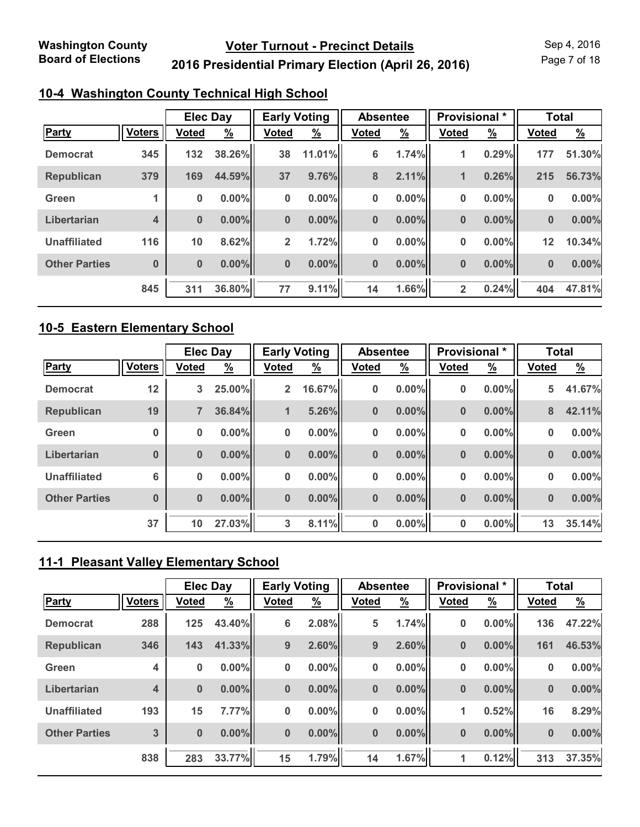Page 7 of 18

## **2016 Presidential Primary Election (April 26, 2016)**

### **10-4 Washington County Technical High School**

|                      |                         | <b>Elec Day</b> |               | <b>Early Voting</b> |               | <b>Absentee</b> |               | <b>Provisional</b> * |               | <b>Total</b> |               |
|----------------------|-------------------------|-----------------|---------------|---------------------|---------------|-----------------|---------------|----------------------|---------------|--------------|---------------|
| Party                | <b>Voters</b>           | <b>Voted</b>    | $\frac{9}{6}$ | <b>Voted</b>        | $\frac{9}{6}$ | <b>Voted</b>    | $\frac{9}{6}$ | <b>Voted</b>         | $\frac{9}{6}$ | <b>Voted</b> | $\frac{9}{6}$ |
| <b>Democrat</b>      | 345                     | 132             | 38.26%        | 38                  | 11.01%        | 6               | 1.74%         | 1                    | 0.29%         | 177          | 51.30%        |
| <b>Republican</b>    | 379                     | 169             | 44.59%        | 37                  | 9.76%         | 8               | 2.11%         | 1                    | 0.26%         | 215          | 56.73%        |
| Green                |                         | $\pmb{0}$       | $0.00\%$      | 0                   | $0.00\%$      | 0               | $0.00\%$      | 0                    | $0.00\%$      | 0            | 0.00%         |
| Libertarian          | $\overline{\mathbf{4}}$ | $\bf{0}$        | $0.00\%$      | $\bf{0}$            | $0.00\%$      | $\bf{0}$        | $0.00\%$      | $\bf{0}$             | 0.00%         | $\bf{0}$     | 0.00%         |
| <b>Unaffiliated</b>  | 116                     | 10              | 8.62%         | $\overline{2}$      | 1.72%         | 0               | $0.00\%$      | 0                    | $0.00\%$      | 12           | 10.34%        |
| <b>Other Parties</b> | $\bf{0}$                | $\bf{0}$        | $0.00\%$      | $\bf{0}$            | $0.00\%$      | $\bf{0}$        | $0.00\%$      | $\bf{0}$             | 0.00%         | $\bf{0}$     | 0.00%         |
|                      | 845                     | 311             | 36.80%        | 77                  | 9.11%         | 14              | 1.66%         | $\overline{2}$       | 0.24%         | 404          | 47.81%        |

#### **10-5 Eastern Elementary School**

|                      |               | <b>Elec Day</b> |               | <b>Early Voting</b> |               | <b>Absentee</b> |               | Provisional * |               | <b>Total</b> |               |
|----------------------|---------------|-----------------|---------------|---------------------|---------------|-----------------|---------------|---------------|---------------|--------------|---------------|
| <b>Party</b>         | <b>Voters</b> | <b>Voted</b>    | $\frac{9}{6}$ | <b>Voted</b>        | $\frac{9}{6}$ | <b>Voted</b>    | $\frac{9}{6}$ | <b>Voted</b>  | $\frac{9}{6}$ | <b>Voted</b> | $\frac{9}{6}$ |
| <b>Democrat</b>      | 12            | 3               | 25.00%        | 2 <sup>1</sup>      | 16.67%        | 0               | $0.00\%$      | 0             | $0.00\%$      | 5            | 41.67%        |
| <b>Republican</b>    | 19            | $\overline{7}$  | 36.84%        | $\blacksquare$      | 5.26%         | $\bf{0}$        | $0.00\%$      | $\bf{0}$      | $0.00\%$      | 8            | 42.11%        |
| Green                | 0             | 0               | $0.00\%$      | $\bf{0}$            | $0.00\%$      | 0               | $0.00\%$      | 0             | $0.00\%$      | 0            | 0.00%         |
| Libertarian          | $\bf{0}$      | $\bf{0}$        | $0.00\%$      | $\bf{0}$            | $0.00\%$      | $\bf{0}$        | $0.00\%$      | $\bf{0}$      | $0.00\%$      | $\bf{0}$     | 0.00%         |
| <b>Unaffiliated</b>  | 6             | 0               | $0.00\%$      | $\bf{0}$            | $0.00\%$      | 0               | $0.00\%$      | 0             | 0.00%         | 0            | 0.00%         |
| <b>Other Parties</b> | $\bf{0}$      | $\bf{0}$        | $0.00\%$      | $\bf{0}$            | $0.00\%$      | $\bf{0}$        | $0.00\%$      | $\bf{0}$      | $0.00\%$      | $\bf{0}$     | 0.00%         |
|                      | 37            | 10              | 27.03%        | 3                   | 8.11%         | 0               | $0.00\%$      | 0             | $0.00\%$      | 13           | 35.14%        |

## **11-1 Pleasant Valley Elementary School**

|                      |               | <b>Elec Day</b> |               | <b>Early Voting</b> |               | <b>Absentee</b> |               | Provisional * |               | <b>Total</b> |               |
|----------------------|---------------|-----------------|---------------|---------------------|---------------|-----------------|---------------|---------------|---------------|--------------|---------------|
| <b>Party</b>         | <b>Voters</b> | <b>Voted</b>    | $\frac{9}{6}$ | <b>Voted</b>        | $\frac{9}{6}$ | <b>Voted</b>    | $\frac{9}{6}$ | <b>Voted</b>  | $\frac{9}{6}$ | <b>Voted</b> | $\frac{9}{6}$ |
| <b>Democrat</b>      | 288           | 125             | 43.40%        | 6                   | 2.08%         | 5               | 1.74%         | 0             | $0.00\%$      | 136          | 47.22%        |
| Republican           | 346           | 143             | 41.33%        | 9                   | 2.60%         | 9               | 2.60%         | $\bf{0}$      | 0.00%         | 161          | 46.53%        |
| Green                | 4             | $\bf{0}$        | 0.00%         | $\bf{0}$            | $0.00\%$      | 0               | 0.00%         | 0             | $0.00\%$      | $\bf{0}$     | 0.00%         |
| Libertarian          | 4             | $\bf{0}$        | $0.00\%$      | $\bf{0}$            | $0.00\%$      | $\bf{0}$        | $0.00\%$      | $\bf{0}$      | 0.00%         | $\bf{0}$     | 0.00%         |
| <b>Unaffiliated</b>  | 193           | 15              | 7.77%         | 0                   | $0.00\%$      | 0               | 0.00%         | 1             | 0.52%         | 16           | 8.29%         |
| <b>Other Parties</b> | 3             | $\bf{0}$        | $0.00\%$      | $\bf{0}$            | $0.00\%$      | $\bf{0}$        | $0.00\%$      | $\bf{0}$      | 0.00%         | $\bf{0}$     | 0.00%         |
|                      | 838           | 283             | 33.77%        | 15                  | 1.79%         | 14              | 1.67%         | 1             | 0.12%         | 313          | 37.35%        |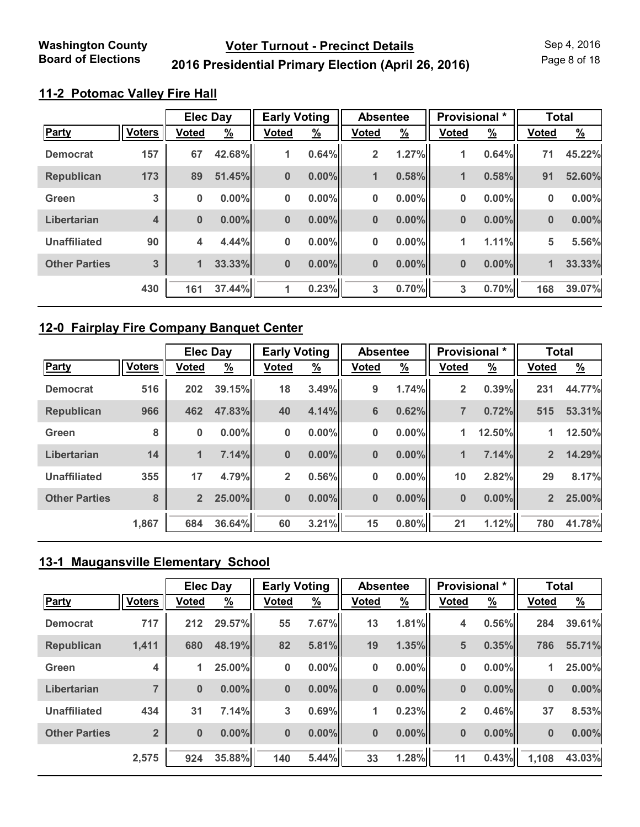**2016 Presidential Primary Election (April 26, 2016)**

Page 8 of 18

#### **11-2 Potomac Valley Fire Hall**

|                      |               | <b>Elec Day</b> |               | <b>Early Voting</b> |               | <b>Absentee</b> |               | Provisional * |               | <b>Total</b> |               |
|----------------------|---------------|-----------------|---------------|---------------------|---------------|-----------------|---------------|---------------|---------------|--------------|---------------|
| Party                | <b>Voters</b> | <b>Voted</b>    | $\frac{9}{6}$ | <b>Voted</b>        | $\frac{9}{6}$ | <b>Voted</b>    | $\frac{9}{6}$ | <b>Voted</b>  | $\frac{9}{6}$ | <b>Voted</b> | $\frac{9}{6}$ |
| <b>Democrat</b>      | 157           | 67              | 42.68%        | $\mathbf{1}$        | 0.64%         | $\overline{2}$  | 1.27%         | 1             | 0.64%         | 71           | 45.22%        |
| <b>Republican</b>    | 173           | 89              | 51.45%        | $\bf{0}$            | $0.00\%$      | 1               | 0.58%         | $\mathbf{1}$  | 0.58%         | 91           | 52.60%        |
| Green                | 3             | $\bf{0}$        | $0.00\%$      | $\bf{0}$            | $0.00\%$      | $\bf{0}$        | $0.00\%$      | 0             | 0.00%         | 0            | 0.00%         |
| Libertarian          | 4             | $\bf{0}$        | $0.00\%$      | $\bf{0}$            | $0.00\%$      | $\bf{0}$        | $0.00\%$      | $\bf{0}$      | 0.00%         | $\bf{0}$     | 0.00%         |
| <b>Unaffiliated</b>  | 90            | 4               | 4.44%         | 0                   | $0.00\%$      | 0               | $0.00\%$      | 1             | 1.11%         | 5            | 5.56%         |
| <b>Other Parties</b> | 3             | 1               | 33.33%        | $\bf{0}$            | $0.00\%$      | $\bf{0}$        | $0.00\%$      | $\bf{0}$      | 0.00%         | 1            | 33.33%        |
|                      | 430           | 161             | 37.44%        | 1                   | 0.23%         | 3               | 0.70%         | 3             | 0.70%         | 168          | 39.07%        |

#### **12-0 Fairplay Fire Company Banquet Center**

|                      |               | <b>Elec Day</b> |          | <b>Early Voting</b> |               | <b>Absentee</b> |          | Provisional *  |               | <b>Total</b>   |               |
|----------------------|---------------|-----------------|----------|---------------------|---------------|-----------------|----------|----------------|---------------|----------------|---------------|
| <b>Party</b>         | <b>Voters</b> | <b>Voted</b>    | <u>%</u> | <b>Voted</b>        | $\frac{9}{6}$ | <b>Voted</b>    | <u>%</u> | <b>Voted</b>   | $\frac{9}{6}$ | <b>Voted</b>   | $\frac{9}{6}$ |
| <b>Democrat</b>      | 516           | 202             | 39.15%   | 18                  | 3.49%         | 9               | 1.74%    | 2              | 0.39%         | 231            | 44.77%        |
| <b>Republican</b>    | 966           | 462             | 47.83%   | 40                  | 4.14%         | $6\phantom{1}$  | 0.62%    | $\overline{7}$ | 0.72%         | 515            | 53.31%        |
| Green                | 8             | 0               | $0.00\%$ | $\bf{0}$            | $0.00\%$      | 0               | $0.00\%$ | 1              | 12.50%        | 1              | 12.50%        |
| Libertarian          | 14            | 1               | 7.14%    | $\bf{0}$            | $0.00\%$      | $\bf{0}$        | $0.00\%$ | $\mathbf{1}$   | 7.14%         | $\overline{2}$ | 14.29%        |
| <b>Unaffiliated</b>  | 355           | 17              | 4.79%    | $\overline{2}$      | 0.56%         | 0               | $0.00\%$ | 10             | 2.82%         | 29             | 8.17%         |
| <b>Other Parties</b> | 8             | $\overline{2}$  | 25.00%   | $\bf{0}$            | $0.00\%$      | $\bf{0}$        | $0.00\%$ | $\bf{0}$       | 0.00%         | $\overline{2}$ | 25.00%        |
|                      | 1,867         | 684             | 36.64%   | 60                  | 3.21%         | 15              | 0.80%    | 21             | 1.12%         | 780            | 41.78%        |

## **13-1 Maugansville Elementary School**

|                      |                | <b>Elec Day</b> |               | <b>Early Voting</b> |               | <b>Absentee</b> |               | Provisional *  |               | <b>Total</b> |               |
|----------------------|----------------|-----------------|---------------|---------------------|---------------|-----------------|---------------|----------------|---------------|--------------|---------------|
| <b>Party</b>         | <b>Voters</b>  | <b>Voted</b>    | $\frac{9}{6}$ | <b>Voted</b>        | $\frac{9}{6}$ | <b>Voted</b>    | $\frac{9}{6}$ | <b>Voted</b>   | $\frac{9}{6}$ | <b>Voted</b> | $\frac{9}{6}$ |
| <b>Democrat</b>      | 717            | 212             | 29.57%        | 55                  | 7.67%         | 13              | 1.81%         | 4              | 0.56%         | 284          | 39.61%        |
| <b>Republican</b>    | 1,411          | 680             | 48.19%        | 82                  | 5.81%         | 19              | 1.35%         | 5              | 0.35%         | 786          | 55.71%        |
| Green                | 4              | 1               | 25.00%        | $\bf{0}$            | $0.00\%$      | 0               | 0.00%         | 0              | 0.00%         | 1            | 25.00%        |
| Libertarian          | $\overline{ }$ | $\bf{0}$        | $0.00\%$      | $\bf{0}$            | $0.00\%$      | $\bf{0}$        | $0.00\%$      | $\bf{0}$       | $0.00\%$      | $\bf{0}$     | 0.00%         |
| <b>Unaffiliated</b>  | 434            | 31              | 7.14%         | 3                   | 0.69%         | 1               | 0.23%         | $\overline{2}$ | 0.46%         | 37           | 8.53%         |
| <b>Other Parties</b> | $\overline{2}$ | $\bf{0}$        | $0.00\%$      | $\bf{0}$            | $0.00\%$      | $\bf{0}$        | $0.00\%$      | $\bf{0}$       | $0.00\%$      | $\bf{0}$     | 0.00%         |
|                      | 2,575          | 924             | 35.88%        | 140                 | 5.44%         | 33              | 1.28%         | 11             | 0.43%         | 1,108        | 43.03%        |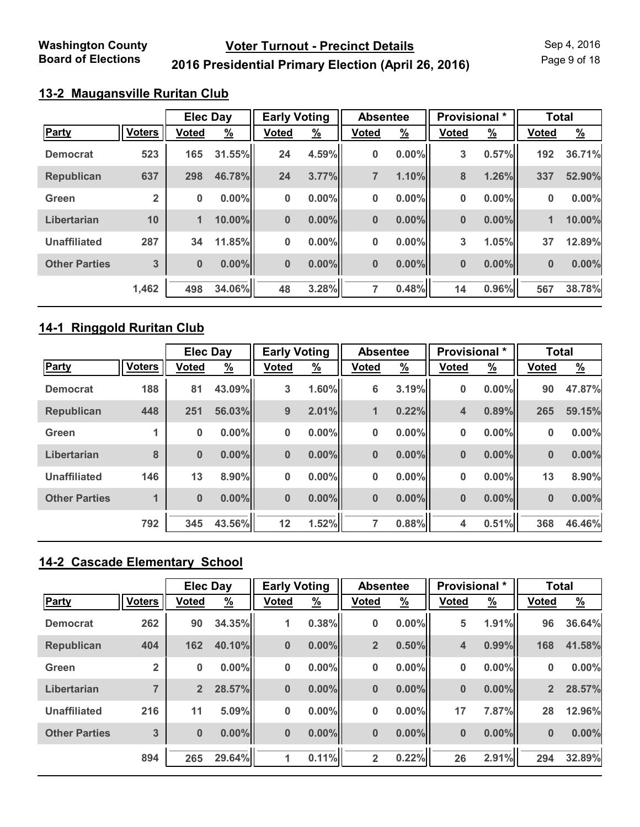Page 9 of 18

## **2016 Presidential Primary Election (April 26, 2016)**

#### **13-2 Maugansville Ruritan Club**

|                      |                | <b>Elec Day</b> |               | <b>Early Voting</b> |               | <b>Absentee</b> |               | Provisional * |               | <b>Total</b> |               |
|----------------------|----------------|-----------------|---------------|---------------------|---------------|-----------------|---------------|---------------|---------------|--------------|---------------|
| Party                | <b>Voters</b>  | Voted           | $\frac{9}{6}$ | <b>Voted</b>        | $\frac{9}{6}$ | <b>Voted</b>    | $\frac{9}{6}$ | <b>Voted</b>  | $\frac{9}{6}$ | <b>Voted</b> | $\frac{9}{6}$ |
| <b>Democrat</b>      | 523            | 165             | 31.55%        | 24                  | 4.59%         | 0               | $0.00\%$      | 3             | 0.57%         | 192          | 36.71%        |
| <b>Republican</b>    | 637            | 298             | 46.78%        | 24                  | 3.77%         | $\overline{7}$  | 1.10%         | 8             | 1.26%         | 337          | 52.90%        |
| Green                | $\overline{2}$ | $\bf{0}$        | $0.00\%$      | $\bf{0}$            | $0.00\%$      | 0               | $0.00\%$      | 0             | 0.00%         | 0            | 0.00%         |
| Libertarian          | 10             | $\mathbf{1}$    | 10.00%        | $\bf{0}$            | $0.00\%$      | $\bf{0}$        | $0.00\%$      | $\bf{0}$      | 0.00%         | 1            | 10.00%        |
| <b>Unaffiliated</b>  | 287            | 34              | 11.85%        | 0                   | $0.00\%$      | 0               | $0.00\%$      | 3             | 1.05%         | 37           | 12.89%        |
| <b>Other Parties</b> | 3              | $\bf{0}$        | $0.00\%$      | $\bf{0}$            | $0.00\%$      | $\bf{0}$        | $0.00\%$      | $\bf{0}$      | 0.00%         | $\bf{0}$     | 0.00%         |
|                      | 1,462          | 498             | 34.06%        | 48                  | 3.28%         | 7               | 0.48%         | 14            | 0.96%         | 567          | 38.78%        |

#### **14-1 Ringgold Ruritan Club**

|                      |               | <b>Elec Day</b> |               | <b>Early Voting</b> |               | <b>Absentee</b> |          | Provisional * |               | <b>Total</b> |               |
|----------------------|---------------|-----------------|---------------|---------------------|---------------|-----------------|----------|---------------|---------------|--------------|---------------|
| <b>Party</b>         | <b>Voters</b> | <b>Voted</b>    | $\frac{9}{6}$ | <b>Voted</b>        | $\frac{9}{6}$ | <b>Voted</b>    | <u>%</u> | <b>Voted</b>  | $\frac{9}{6}$ | <b>Voted</b> | $\frac{9}{6}$ |
| <b>Democrat</b>      | 188           | 81              | 43.09%        | 3                   | 1.60%         | 6               | 3.19%    | 0             | 0.00%         | 90           | 47.87%        |
| <b>Republican</b>    | 448           | 251             | 56.03%        | 9                   | 2.01%         | 1               | 0.22%    | 4             | 0.89%         | 265          | 59.15%        |
| Green                |               | 0               | $0.00\%$      | $\bf{0}$            | $0.00\%$      | 0               | $0.00\%$ | 0             | 0.00%         | 0            | 0.00%         |
| Libertarian          | 8             | $\bf{0}$        | $0.00\%$      | $\bf{0}$            | $0.00\%$      | $\bf{0}$        | $0.00\%$ | $\bf{0}$      | 0.00%         | $\bf{0}$     | 0.00%         |
| <b>Unaffiliated</b>  | 146           | 13              | 8.90%         | $\bf{0}$            | $0.00\%$      | 0               | $0.00\%$ | 0             | 0.00%         | 13           | 8.90%         |
| <b>Other Parties</b> |               | $\bf{0}$        | $0.00\%$      | $\bf{0}$            | $0.00\%$      | $\bf{0}$        | $0.00\%$ | $\bf{0}$      | 0.00%         | $\bf{0}$     | 0.00%         |
|                      | 792           | 345             | 43.56%        | 12                  | 1.52%         | 7               | 0.88%    | 4             | 0.51%         | 368          | 46.46%        |

## **14-2 Cascade Elementary School**

|                      |                | <b>Elec Day</b> |               | <b>Early Voting</b> |               | <b>Absentee</b> |               | Provisional * |          | <b>Total</b>   |               |
|----------------------|----------------|-----------------|---------------|---------------------|---------------|-----------------|---------------|---------------|----------|----------------|---------------|
| <b>Party</b>         | <b>Voters</b>  | <b>Voted</b>    | $\frac{9}{6}$ | <b>Voted</b>        | $\frac{9}{6}$ | <b>Voted</b>    | $\frac{9}{6}$ | <b>Voted</b>  | <u>%</u> | <b>Voted</b>   | $\frac{9}{6}$ |
| <b>Democrat</b>      | 262            | 90              | 34.35%        | $\mathbf{1}$        | 0.38%         | 0               | $0.00\%$      | 5             | 1.91%    | 96             | 36.64%        |
| Republican           | 404            | 162             | 40.10%        | $\bf{0}$            | $0.00\%$      | $\overline{2}$  | 0.50%         | 4             | 0.99%    | 168            | 41.58%        |
| Green                | $\overline{2}$ | 0               | 0.00%         | 0                   | $0.00\%$      | 0               | 0.00%         | 0             | $0.00\%$ | $\bf{0}$       | 0.00%         |
| Libertarian          | $\overline{ }$ | $\overline{2}$  | 28.57%        | $\bf{0}$            | $0.00\%$      | $\bf{0}$        | $0.00\%$      | $\bf{0}$      | $0.00\%$ | 2 <sup>2</sup> | 28.57%        |
| <b>Unaffiliated</b>  | 216            | 11              | 5.09%         | 0                   | $0.00\%$      | 0               | 0.00%         | 17            | 7.87%    | 28             | 12.96%        |
| <b>Other Parties</b> | 3              | $\bf{0}$        | $0.00\%$      | $\bf{0}$            | $0.00\%$      | $\bf{0}$        | $0.00\%$      | $\bf{0}$      | $0.00\%$ | $\bf{0}$       | 0.00%         |
|                      | 894            | 265             | 29.64%        | 1                   | 0.11%         | $\overline{2}$  | 0.22%         | 26            | 2.91%    | 294            | 32.89%        |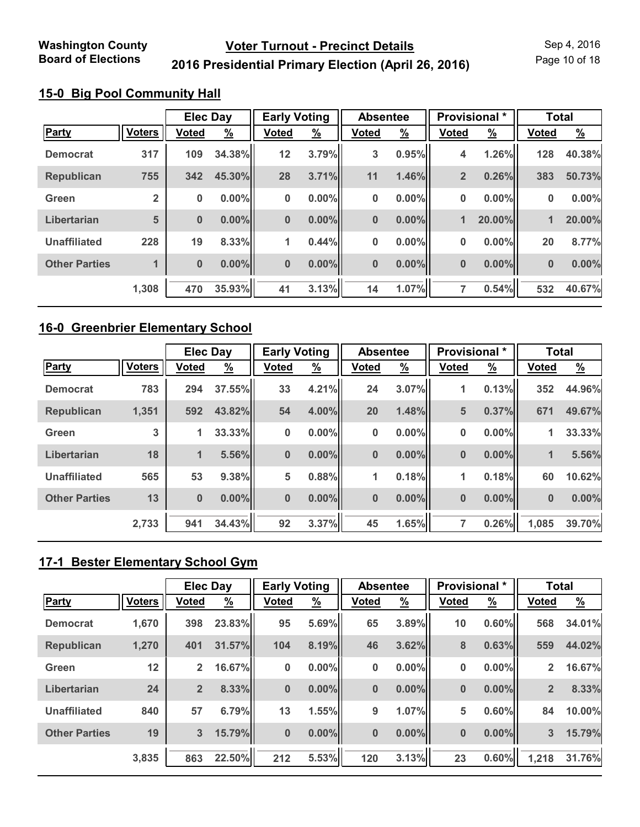Page 10 of 18

## **2016 Presidential Primary Election (April 26, 2016)**

### **15-0 Big Pool Community Hall**

|                      |                | <b>Elec Day</b> |               | <b>Early Voting</b> |               | <b>Absentee</b> |          | Provisional *  |               | <b>Total</b> |               |
|----------------------|----------------|-----------------|---------------|---------------------|---------------|-----------------|----------|----------------|---------------|--------------|---------------|
| <b>Party</b>         | <b>Voters</b>  | <b>Voted</b>    | $\frac{9}{6}$ | <b>Voted</b>        | $\frac{9}{6}$ | <b>Voted</b>    | <u>%</u> | <b>Voted</b>   | $\frac{9}{6}$ | <b>Voted</b> | $\frac{9}{6}$ |
| <b>Democrat</b>      | 317            | 109             | 34.38%        | 12                  | 3.79%         | 3               | 0.95%    | 4              | 1.26%         | 128          | 40.38%        |
| <b>Republican</b>    | 755            | 342             | 45.30%        | 28                  | 3.71%         | 11              | 1.46%    | $\overline{2}$ | 0.26%         | 383          | 50.73%        |
| Green                | $\overline{2}$ | 0               | $0.00\%$      | $\bf{0}$            | $0.00\%$      | 0               | $0.00\%$ | 0              | 0.00%         | 0            | 0.00%         |
| Libertarian          | 5              | $\bf{0}$        | $0.00\%$      | $\mathbf{0}$        | $0.00\%$      | $\bf{0}$        | $0.00\%$ | 1              | 20.00%        | 1            | 20.00%        |
| <b>Unaffiliated</b>  | 228            | 19              | 8.33%         | 1                   | 0.44%         | 0               | $0.00\%$ | 0              | 0.00%         | 20           | 8.77%         |
| <b>Other Parties</b> |                | $\bf{0}$        | $0.00\%$      | $\bf{0}$            | $0.00\%$      | $\bf{0}$        | $0.00\%$ | 0              | 0.00%         | $\bf{0}$     | 0.00%         |
|                      | 1,308          | 470             | 35.93%        | 41                  | 3.13%         | 14              | 1.07%    | 7              | 0.54%         | 532          | 40.67%        |

#### **16-0 Greenbrier Elementary School**

|                      |               | <b>Elec Day</b> |               | <b>Early Voting</b> |               | <b>Absentee</b> |               | Provisional * |               | <b>Total</b> |          |
|----------------------|---------------|-----------------|---------------|---------------------|---------------|-----------------|---------------|---------------|---------------|--------------|----------|
| <b>Party</b>         | <b>Voters</b> | <b>Voted</b>    | $\frac{9}{6}$ | <b>Voted</b>        | $\frac{9}{6}$ | <b>Voted</b>    | $\frac{9}{6}$ | <b>Voted</b>  | $\frac{9}{6}$ | <b>Voted</b> | <u>%</u> |
| <b>Democrat</b>      | 783           | 294             | 37.55%        | 33                  | 4.21%         | 24              | 3.07%         | 1             | 0.13%         | 352          | 44.96%   |
| <b>Republican</b>    | 1,351         | 592             | 43.82%        | 54                  | 4.00%         | 20              | 1.48%         | 5             | 0.37%         | 671          | 49.67%   |
| Green                | 3             | 1               | 33.33%        | $\bf{0}$            | $0.00\%$      | 0               | $0.00\%$      | 0             | $0.00\%$      | 1            | 33.33%   |
| Libertarian          | 18            | $\mathbf{1}$    | 5.56%         | $\bf{0}$            | $0.00\%$      | $\bf{0}$        | $0.00\%$      | $\bf{0}$      | $0.00\%$      | 1            | 5.56%    |
| <b>Unaffiliated</b>  | 565           | 53              | 9.38%         | 5                   | 0.88%         | 1               | 0.18%         | 1             | 0.18%         | 60           | 10.62%   |
| <b>Other Parties</b> | 13            | $\bf{0}$        | $0.00\%$      | $\bf{0}$            | $0.00\%$      | $\bf{0}$        | $0.00\%$      | $\bf{0}$      | $0.00\%$      | $\bf{0}$     | 0.00%    |
|                      | 2,733         | 941             | 34.43%        | 92                  | 3.37%         | 45              | 1.65%         | 7             | 0.26%         | 1,085        | 39.70%   |

## **17-1 Bester Elementary School Gym**

|                      |               | <b>Elec Day</b> |               | <b>Early Voting</b> |               | <b>Absentee</b> |               | Provisional * |          | <b>Total</b>   |               |
|----------------------|---------------|-----------------|---------------|---------------------|---------------|-----------------|---------------|---------------|----------|----------------|---------------|
| <b>Party</b>         | <b>Voters</b> | <b>Voted</b>    | $\frac{9}{6}$ | <b>Voted</b>        | $\frac{9}{6}$ | <b>Voted</b>    | $\frac{9}{6}$ | <b>Voted</b>  | <u>%</u> | <b>Voted</b>   | $\frac{9}{6}$ |
| <b>Democrat</b>      | 1,670         | 398             | 23.83%        | 95                  | 5.69%         | 65              | 3.89%         | 10            | 0.60%    | 568            | 34.01%        |
| Republican           | 1,270         | 401             | 31.57%        | 104                 | 8.19%         | 46              | 3.62%         | 8             | 0.63%    | 559            | 44.02%        |
| Green                | 12            | $\overline{2}$  | 16.67%        | $\bf{0}$            | $0.00\%$      | 0               | 0.00%         | 0             | 0.00%    | $\overline{2}$ | 16.67%        |
| Libertarian          | 24            | $\overline{2}$  | 8.33%         | $\bf{0}$            | $0.00\%$      | $\bf{0}$        | $0.00\%$      | $\bf{0}$      | $0.00\%$ | $\overline{2}$ | 8.33%         |
| <b>Unaffiliated</b>  | 840           | 57              | 6.79%         | 13                  | 1.55%         | 9               | 1.07%         | 5             | 0.60%    | 84             | 10.00%        |
| <b>Other Parties</b> | 19            | $\overline{3}$  | 15.79%        | $\bf{0}$            | $0.00\%$      | $\bf{0}$        | $0.00\%$      | $\bf{0}$      | $0.00\%$ | 3              | 15.79%        |
|                      | 3,835         | 863             | 22.50%        | 212                 | 5.53%         | 120             | 3.13%         | 23            | 0.60%    | 1,218          | 31.76%        |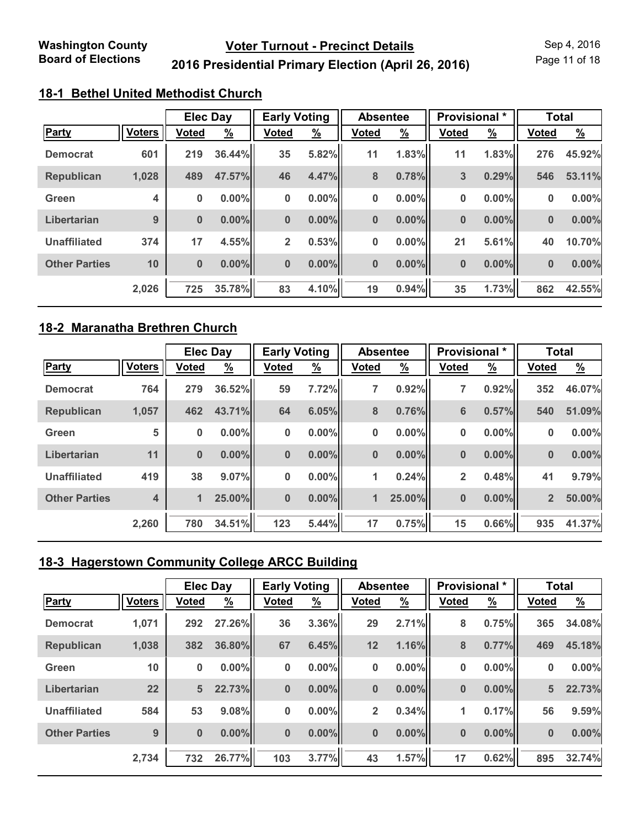Page 11 of 18

## **2016 Presidential Primary Election (April 26, 2016)**

## **18-1 Bethel United Methodist Church**

|                      |               | <b>Elec Day</b> |               | <b>Early Voting</b> |               | <b>Absentee</b> |               | <b>Provisional</b> * |               | <b>Total</b> |               |
|----------------------|---------------|-----------------|---------------|---------------------|---------------|-----------------|---------------|----------------------|---------------|--------------|---------------|
| <b>Party</b>         | <b>Voters</b> | <b>Voted</b>    | $\frac{9}{6}$ | <b>Voted</b>        | $\frac{9}{6}$ | <b>Voted</b>    | $\frac{9}{6}$ | <b>Voted</b>         | $\frac{9}{6}$ | <b>Voted</b> | $\frac{9}{6}$ |
| <b>Democrat</b>      | 601           | 219             | 36.44%        | 35                  | 5.82%         | 11              | 1.83%         | 11                   | 1.83%         | 276          | 45.92%        |
| <b>Republican</b>    | 1,028         | 489             | 47.57%        | 46                  | 4.47%         | 8               | 0.78%         | 3                    | 0.29%         | 546          | 53.11%        |
| Green                | 4             | $\bf{0}$        | $0.00\%$      | 0                   | $0.00\%$      | 0               | $0.00\%$      | 0                    | $0.00\%$      | 0            | 0.00%         |
| Libertarian          | 9             | $\bf{0}$        | $0.00\%$      | $\bf{0}$            | $0.00\%$      | $\bf{0}$        | $0.00\%$      | $\bf{0}$             | 0.00%         | $\bf{0}$     | 0.00%         |
| <b>Unaffiliated</b>  | 374           | 17              | 4.55%         | $\overline{2}$      | 0.53%         | 0               | $0.00\%$      | 21                   | 5.61%         | 40           | 10.70%        |
| <b>Other Parties</b> | 10            | $\bf{0}$        | $0.00\%$      | $\bf{0}$            | $0.00\%$      | $\bf{0}$        | $0.00\%$      | $\bf{0}$             | 0.00%         | $\bf{0}$     | 0.00%         |
|                      | 2,026         | 725             | 35.78%        | 83                  | 4.10%         | 19              | 0.94%         | 35                   | 1.73%         | 862          | 42.55%        |

#### **18-2 Maranatha Brethren Church**

|                      |               | <b>Elec Day</b> |               | <b>Early Voting</b> |               | <b>Absentee</b> |               | Provisional *  |               | <b>Total</b>   |               |
|----------------------|---------------|-----------------|---------------|---------------------|---------------|-----------------|---------------|----------------|---------------|----------------|---------------|
| <b>Party</b>         | <b>Voters</b> | <b>Voted</b>    | $\frac{9}{6}$ | <b>Voted</b>        | $\frac{9}{6}$ | <b>Voted</b>    | $\frac{9}{6}$ | <b>Voted</b>   | $\frac{9}{6}$ | <b>Voted</b>   | $\frac{9}{6}$ |
| <b>Democrat</b>      | 764           | 279             | 36.52%        | 59                  | 7.72%         | 7               | 0.92%         | 7              | 0.92%         | 352            | 46.07%        |
| <b>Republican</b>    | 1,057         | 462             | 43.71%        | 64                  | 6.05%         | 8               | 0.76%         | 6              | 0.57%         | 540            | 51.09%        |
| Green                | 5             | 0               | $0.00\%$      | $\bf{0}$            | $0.00\%$      | 0               | $0.00\%$      | 0              | 0.00%         | 0              | 0.00%         |
| Libertarian          | 11            | $\bf{0}$        | $0.00\%$      | $\bf{0}$            | $0.00\%$      | $\bf{0}$        | $0.00\%$      | $\bf{0}$       | 0.00%         | $\bf{0}$       | 0.00%         |
| <b>Unaffiliated</b>  | 419           | 38              | 9.07%         | $\bf{0}$            | $0.00\%$      | 1               | 0.24%         | $\overline{2}$ | 0.48%         | 41             | 9.79%         |
| <b>Other Parties</b> | 4             | $\blacksquare$  | 25.00%        | $\bf{0}$            | $0.00\%$      | 1               | 25.00%        | $\bf{0}$       | 0.00%         | $\overline{2}$ | 50.00%        |
|                      | 2,260         | 780             | 34.51%        | 123                 | 5.44%         | 17              | 0.75%         | 15             | 0.66%         | 935            | 41.37%        |

## **18-3 Hagerstown Community College ARCC Building**

|                      |               | <b>Elec Day</b> |               | <b>Early Voting</b> |               | <b>Absentee</b> |               | Provisional * |               | <b>Total</b> |               |
|----------------------|---------------|-----------------|---------------|---------------------|---------------|-----------------|---------------|---------------|---------------|--------------|---------------|
| <b>Party</b>         | <b>Voters</b> | <b>Voted</b>    | $\frac{9}{6}$ | <b>Voted</b>        | $\frac{9}{6}$ | <b>Voted</b>    | $\frac{9}{6}$ | <b>Voted</b>  | $\frac{9}{6}$ | <b>Voted</b> | $\frac{9}{6}$ |
| <b>Democrat</b>      | 1,071         | 292             | 27.26%        | 36                  | 3.36%         | 29              | 2.71%         | 8             | 0.75%         | 365          | 34.08%        |
| <b>Republican</b>    | 1,038         | 382             | 36.80%        | 67                  | 6.45%         | 12              | 1.16%         | 8             | 0.77%         | 469          | 45.18%        |
| Green                | 10            | 0               | $0.00\%$      | $\bf{0}$            | $0.00\%$      | 0               | 0.00%         | 0             | 0.00%         | $\bf{0}$     | 0.00%         |
| Libertarian          | 22            | 5               | 22.73%        | $\bf{0}$            | $0.00\%$      | $\bf{0}$        | $0.00\%$      | $\bf{0}$      | $0.00\%$      | 5            | 22.73%        |
| <b>Unaffiliated</b>  | 584           | 53              | 9.08%         | $\bf{0}$            | $0.00\%$      | $\overline{2}$  | 0.34%         | $\mathbf{1}$  | 0.17%         | 56           | 9.59%         |
| <b>Other Parties</b> | 9             | $\bf{0}$        | $0.00\%$      | $\bf{0}$            | $0.00\%$      | $\mathbf 0$     | $0.00\%$      | $\bf{0}$      | $0.00\%$      | $\bf{0}$     | 0.00%         |
|                      | 2,734         | 732             | 26.77%        | 103                 | 3.77%         | 43              | 1.57%         | 17            | 0.62%         | 895          | 32.74%        |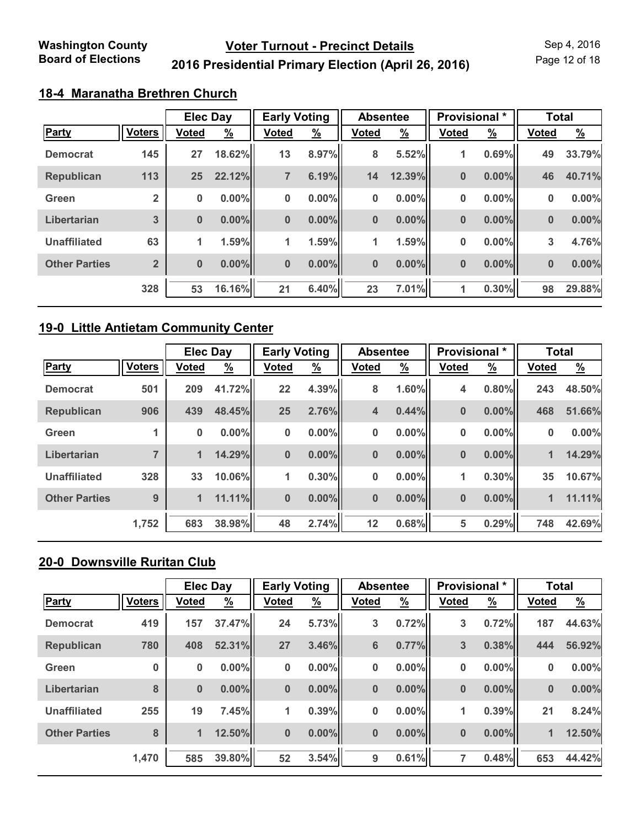Page 12 of 18

## **2016 Presidential Primary Election (April 26, 2016)**

## **18-4 Maranatha Brethren Church**

|                      |                | <b>Elec Day</b> |               | <b>Early Voting</b> |               | <b>Absentee</b> |               | Provisional * |               | <b>Total</b> |               |
|----------------------|----------------|-----------------|---------------|---------------------|---------------|-----------------|---------------|---------------|---------------|--------------|---------------|
| Party                | <b>Voters</b>  | <b>Voted</b>    | $\frac{9}{6}$ | <b>Voted</b>        | $\frac{9}{6}$ | <b>Voted</b>    | $\frac{9}{6}$ | <b>Voted</b>  | $\frac{9}{6}$ | <b>Voted</b> | $\frac{9}{6}$ |
| <b>Democrat</b>      | 145            | 27              | 18.62%        | 13                  | 8.97%         | 8               | 5.52%         | 1             | 0.69%         | 49           | 33.79%        |
| <b>Republican</b>    | 113            | 25              | 22.12%        | 7                   | 6.19%         | 14              | 12.39%        | $\bf{0}$      | $0.00\%$      | 46           | 40.71%        |
| Green                | $\overline{2}$ | $\pmb{0}$       | 0.00%         | $\bf{0}$            | $0.00\%$      | $\bf{0}$        | $0.00\%$      | 0             | $0.00\%$      | 0            | 0.00%         |
| Libertarian          | 3              | $\bf{0}$        | $0.00\%$      | $\bf{0}$            | $0.00\%$      | $\bf{0}$        | $0.00\%$      | $\bf{0}$      | $0.00\%$      | $\bf{0}$     | $0.00\%$      |
| <b>Unaffiliated</b>  | 63             | 1               | 1.59%         | 1                   | 1.59%         | 1               | 1.59%         | 0             | $0.00\%$      | 3            | 4.76%         |
| <b>Other Parties</b> | $\overline{2}$ | $\bf{0}$        | $0.00\%$      | $\bf{0}$            | $0.00\%$      | $\bf{0}$        | $0.00\%$      | $\bf{0}$      | $0.00\%$      | $\bf{0}$     | 0.00%         |
|                      | 328            | 53              | 16.16%        | 21                  | 6.40%         | 23              | 7.01%         | 1             | 0.30%         | 98           | 29.88%        |

#### **19-0 Little Antietam Community Center**

|                      |                | <b>Elec Day</b> |          | <b>Early Voting</b> |               | <b>Absentee</b> |               | Provisional * |               | <b>Total</b> |          |
|----------------------|----------------|-----------------|----------|---------------------|---------------|-----------------|---------------|---------------|---------------|--------------|----------|
| <b>Party</b>         | <b>Voters</b>  | <b>Voted</b>    | <u>%</u> | <b>Voted</b>        | $\frac{9}{6}$ | <b>Voted</b>    | $\frac{9}{6}$ | <b>Voted</b>  | $\frac{9}{6}$ | <b>Voted</b> | <u>%</u> |
| <b>Democrat</b>      | 501            | 209             | 41.72%   | 22                  | 4.39%         | 8               | 1.60%         | 4             | 0.80%         | 243          | 48.50%   |
| <b>Republican</b>    | 906            | 439             | 48.45%   | 25                  | 2.76%         | 4               | 0.44%         | $\bf{0}$      | $0.00\%$      | 468          | 51.66%   |
| Green                |                | 0               | $0.00\%$ | $\bf{0}$            | $0.00\%$      | 0               | $0.00\%$      | 0             | $0.00\%$      | 0            | $0.00\%$ |
| Libertarian          | $\overline{7}$ | $\mathbf{1}$    | 14.29%   | $\bf{0}$            | $0.00\%$      | $\bf{0}$        | $0.00\%$      | $\bf{0}$      | $0.00\%$      | 1            | 14.29%   |
| <b>Unaffiliated</b>  | 328            | 33              | 10.06%   | 1                   | 0.30%         | 0               | $0.00\%$      | 1             | 0.30%         | 35           | 10.67%   |
| <b>Other Parties</b> | 9              | $\blacksquare$  | 11.11%   | $\mathbf{0}$        | $0.00\%$      | $\bf{0}$        | $0.00\%$      | $\bf{0}$      | $0.00\%$      | 1            | 11.11%   |
|                      | 1,752          | 683             | 38.98%   | 48                  | 2.74%         | 12              | 0.68%         | 5             | 0.29%         | 748          | 42.69%   |

## **20-0 Downsville Ruritan Club**

|                      |               | <b>Elec Day</b> |          | <b>Early Voting</b> |               | <b>Absentee</b> |               | Provisional * |               | <b>Total</b> |                       |
|----------------------|---------------|-----------------|----------|---------------------|---------------|-----------------|---------------|---------------|---------------|--------------|-----------------------|
| <b>Party</b>         | <b>Voters</b> | <b>Voted</b>    | <u>%</u> | <b>Voted</b>        | $\frac{9}{6}$ | <b>Voted</b>    | $\frac{9}{6}$ | <b>Voted</b>  | $\frac{9}{6}$ | <b>Voted</b> | $\frac{\%}{\sqrt{2}}$ |
| <b>Democrat</b>      | 419           | 157             | 37.47%   | 24                  | 5.73%         | 3               | 0.72%         | 3             | 0.72%         | 187          | 44.63%                |
| <b>Republican</b>    | 780           | 408             | 52.31%   | 27                  | 3.46%         | 6               | 0.77%         | 3             | 0.38%         | 444          | 56.92%                |
| Green                | 0             | $\bf{0}$        | $0.00\%$ | $\bf{0}$            | $0.00\%$      | 0               | 0.00%         | 0             | $0.00\%$      | $\bf{0}$     | 0.00%                 |
| Libertarian          | 8             | $\bf{0}$        | $0.00\%$ | $\bf{0}$            | $0.00\%$      | $\bf{0}$        | $0.00\%$      | $\bf{0}$      | $0.00\%$      | $\bf{0}$     | 0.00%                 |
| <b>Unaffiliated</b>  | 255           | 19              | 7.45%    | 1                   | 0.39%         | 0               | 0.00%         | $\mathbf{1}$  | 0.39%         | 21           | 8.24%                 |
| <b>Other Parties</b> | 8             | 1               | 12.50%   | $\bf{0}$            | $0.00\%$      | $\bf{0}$        | $0.00\%$      | $\bf{0}$      | 0.00%         | 1            | 12.50%                |
|                      | 1,470         | 585             | 39.80%   | 52                  | 3.54%         | 9               | 0.61%         | 7             | 0.48%         | 653          | 44.42%                |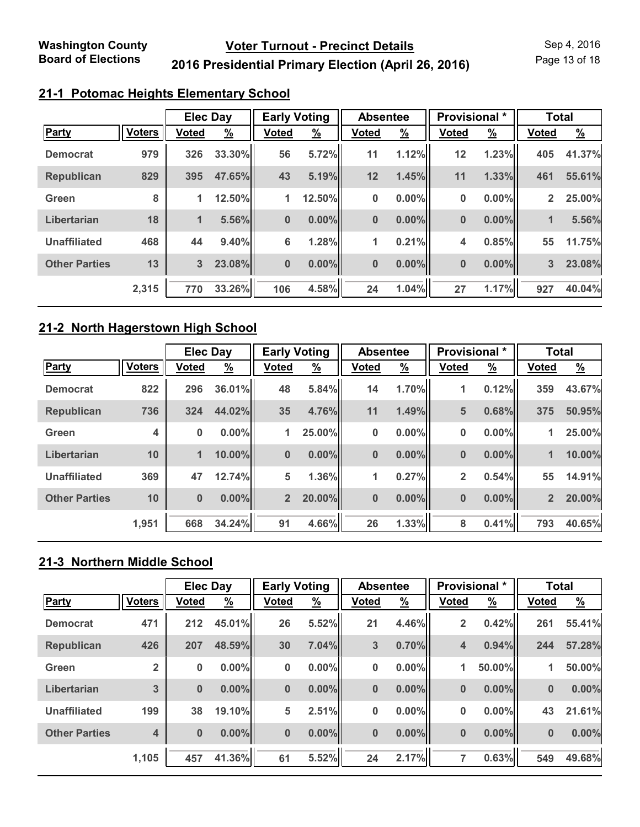Page 13 of 18

## **2016 Presidential Primary Election (April 26, 2016)**

### **21-1 Potomac Heights Elementary School**

|                      |               | <b>Elec Day</b> |               | <b>Early Voting</b> |               | <b>Absentee</b> |               | Provisional * |               | <b>Total</b>   |               |
|----------------------|---------------|-----------------|---------------|---------------------|---------------|-----------------|---------------|---------------|---------------|----------------|---------------|
| Party                | <b>Voters</b> | <b>Voted</b>    | $\frac{9}{6}$ | Voted               | $\frac{9}{6}$ | <b>Voted</b>    | $\frac{9}{6}$ | <b>Voted</b>  | $\frac{9}{6}$ | <b>Voted</b>   | $\frac{9}{6}$ |
| <b>Democrat</b>      | 979           | 326             | 33.30%        | 56                  | 5.72%         | 11              | 1.12%         | 12            | 1.23%         | 405            | 41.37%        |
| <b>Republican</b>    | 829           | 395             | 47.65%        | 43                  | 5.19%         | 12              | 1.45%         | 11            | 1.33%         | 461            | 55.61%        |
| Green                | 8             | $\mathbf{1}$    | 12.50%        | 1                   | 12.50%        | 0               | $0.00\%$      | 0             | 0.00%         | $\overline{2}$ | 25.00%        |
| Libertarian          | 18            | $\blacksquare$  | 5.56%         | $\mathbf{0}$        | $0.00\%$      | $\bf{0}$        | $0.00\%$      | $\bf{0}$      | 0.00%         | 1              | 5.56%         |
| <b>Unaffiliated</b>  | 468           | 44              | 9.40%         | 6                   | 1.28%         | 1               | 0.21%         | 4             | 0.85%         | 55             | 11.75%        |
| <b>Other Parties</b> | 13            | 3               | 23.08%        | $\bf{0}$            | $0.00\%$      | $\bf{0}$        | $0.00\%$      | 0             | 0.00%         | 3              | 23.08%        |
|                      | 2,315         | 770             | 33.26%        | 106                 | 4.58%         | 24              | 1.04%         | 27            | 1.17%         | 927            | 40.04%        |

#### **21-2 North Hagerstown High School**

|                      | <b>Elec Day</b> |              |          | <b>Early Voting</b> |               | <b>Absentee</b> |               | Provisional *  |               | <b>Total</b>   |               |
|----------------------|-----------------|--------------|----------|---------------------|---------------|-----------------|---------------|----------------|---------------|----------------|---------------|
| <b>Party</b>         | <b>Voters</b>   | <b>Voted</b> | <u>%</u> | <b>Voted</b>        | $\frac{9}{6}$ | <b>Voted</b>    | $\frac{9}{6}$ | <b>Voted</b>   | $\frac{9}{6}$ | <b>Voted</b>   | $\frac{9}{6}$ |
| <b>Democrat</b>      | 822             | 296          | 36.01%   | 48                  | 5.84%         | 14              | 1.70%         | 1              | 0.12%         | 359            | 43.67%        |
| <b>Republican</b>    | 736             | 324          | 44.02%   | 35                  | 4.76%         | 11              | 1.49%         | 5              | 0.68%         | 375            | 50.95%        |
| Green                | 4               | 0            | $0.00\%$ | 1.                  | 25.00%        | 0               | $0.00\%$      | 0              | $0.00\%$      | 1              | 25.00%        |
| Libertarian          | 10              | $\mathbf{1}$ | 10.00%   | $\bf{0}$            | $0.00\%$      | $\bf{0}$        | $0.00\%$      | $\bf{0}$       | $0.00\%$      | 1              | 10.00%        |
| <b>Unaffiliated</b>  | 369             | 47           | 12.74%   | 5                   | 1.36%         | 1               | 0.27%         | $\overline{2}$ | 0.54%         | 55             | 14.91%        |
| <b>Other Parties</b> | 10              | $\bf{0}$     | $0.00\%$ | 2 <sup>2</sup>      | 20.00%        | $\bf{0}$        | $0.00\%$      | $\bf{0}$       | $0.00\%$      | $\overline{2}$ | 20.00%        |
|                      | 1,951           | 668          | 34.24%   | 91                  | 4.66%         | 26              | 1.33%         | 8              | 0.41%         | 793            | 40.65%        |

# **21-3 Northern Middle School**

|                      |                | <b>Elec Day</b> |               | <b>Early Voting</b> |               | <b>Absentee</b> |               | Provisional * |          | <b>Total</b> |               |
|----------------------|----------------|-----------------|---------------|---------------------|---------------|-----------------|---------------|---------------|----------|--------------|---------------|
| <b>Party</b>         | <b>Voters</b>  | <b>Voted</b>    | $\frac{9}{6}$ | <b>Voted</b>        | $\frac{9}{6}$ | <b>Voted</b>    | $\frac{9}{6}$ | <b>Voted</b>  | <u>%</u> | <b>Voted</b> | $\frac{9}{6}$ |
| <b>Democrat</b>      | 471            | 212             | 45.01%        | 26                  | 5.52%         | 21              | 4.46%         | 2             | 0.42%    | 261          | 55.41%        |
| <b>Republican</b>    | 426            | 207             | 48.59%        | 30                  | 7.04%         | 3               | 0.70%         | 4             | 0.94%    | 244          | 57.28%        |
| Green                | $\overline{2}$ | 0               | $0.00\%$      | 0                   | $0.00\%$      | 0               | 0.00%         | 1             | 50.00%   | 1            | 50.00%        |
| Libertarian          | 3              | $\bf{0}$        | $0.00\%$      | $\bf{0}$            | $0.00\%$      | $\mathbf 0$     | $0.00\%$      | $\bf{0}$      | $0.00\%$ | $\bf{0}$     | $0.00\%$      |
| <b>Unaffiliated</b>  | 199            | 38              | 19.10%        | 5                   | 2.51%         | 0               | 0.00%         | 0             | $0.00\%$ | 43           | 21.61%        |
| <b>Other Parties</b> | 4              | $\bf{0}$        | $0.00\%$      | $\bf{0}$            | $0.00\%$      | $\bf{0}$        | $0.00\%$      | $\bf{0}$      | $0.00\%$ | $\bf{0}$     | 0.00%         |
|                      | 1,105          | 457             | 41.36%        | 61                  | 5.52%         | 24              | 2.17%         | 7             | 0.63%    | 549          | 49.68%        |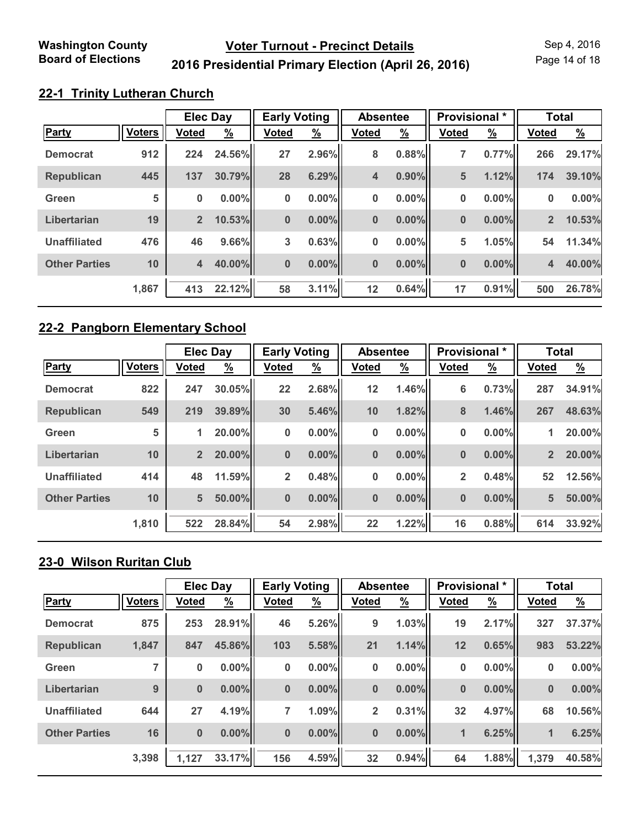Page 14 of 18

## **2016 Presidential Primary Election (April 26, 2016)**

## **22-1 Trinity Lutheran Church**

|                      |               | <b>Elec Day</b> |               | <b>Early Voting</b> |               | <b>Absentee</b> |               | Provisional * |               | <b>Total</b>   |               |
|----------------------|---------------|-----------------|---------------|---------------------|---------------|-----------------|---------------|---------------|---------------|----------------|---------------|
| Party                | <b>Voters</b> | <b>Voted</b>    | $\frac{9}{6}$ | <b>Voted</b>        | $\frac{9}{6}$ | <b>Voted</b>    | $\frac{9}{6}$ | <b>Voted</b>  | $\frac{9}{6}$ | <b>Voted</b>   | $\frac{9}{6}$ |
| <b>Democrat</b>      | 912           | 224             | 24.56%        | 27                  | 2.96%         | 8               | 0.88%         | 7             | 0.77%         | 266            | 29.17%        |
| <b>Republican</b>    | 445           | 137             | 30.79%        | 28                  | 6.29%         | 4               | $0.90\%$      | 5             | 1.12%         | 174            | 39.10%        |
| Green                | 5             | 0               | $0.00\%$      | $\bf{0}$            | $0.00\%$      | 0               | $0.00\%$      | 0             | 0.00%         | 0              | 0.00%         |
| Libertarian          | 19            | $\overline{2}$  | 10.53%        | $\bf{0}$            | $0.00\%$      | $\bf{0}$        | $0.00\%$      | $\bf{0}$      | 0.00%         | 2 <sup>2</sup> | 10.53%        |
| <b>Unaffiliated</b>  | 476           | 46              | 9.66%         | 3                   | 0.63%         | 0               | $0.00\%$      | 5             | 1.05%         | 54             | 11.34%        |
| <b>Other Parties</b> | 10            | $\overline{4}$  | 40.00%        | $\bf{0}$            | $0.00\%$      | $\bf{0}$        | $0.00\%$      | 0             | 0.00%         | 4              | 40.00%        |
|                      | 1,867         | 413             | 22.12%        | 58                  | 3.11%         | 12              | 0.64%         | 17            | 0.91%         | 500            | 26.78%        |

#### **22-2 Pangborn Elementary School**

|                      |               | <b>Elec Day</b> |          | <b>Early Voting</b> |               | <b>Absentee</b> |               | Provisional *  |                       | <b>Total</b>   |               |
|----------------------|---------------|-----------------|----------|---------------------|---------------|-----------------|---------------|----------------|-----------------------|----------------|---------------|
| <b>Party</b>         | <b>Voters</b> | <b>Voted</b>    | <u>%</u> | <b>Voted</b>        | $\frac{9}{6}$ | <b>Voted</b>    | $\frac{9}{6}$ | <b>Voted</b>   | $\frac{\%}{\sqrt{2}}$ | <b>Voted</b>   | $\frac{9}{6}$ |
| <b>Democrat</b>      | 822           | 247             | 30.05%   | 22                  | 2.68%         | 12              | 1.46%         | 6              | 0.73%                 | 287            | 34.91%        |
| <b>Republican</b>    | 549           | 219             | 39.89%   | 30                  | 5.46%         | 10              | 1.82%         | 8              | 1.46%                 | 267            | 48.63%        |
| Green                | 5             | 1               | 20.00%   | $\bf{0}$            | $0.00\%$      | 0               | $0.00\%$      | 0              | $0.00\%$              | 1              | 20.00%        |
| Libertarian          | 10            | 2 <sup>2</sup>  | 20.00%   | $\bf{0}$            | $0.00\%$      | $\bf{0}$        | $0.00\%$      | $\bf{0}$       | $0.00\%$              | $\overline{2}$ | 20.00%        |
| <b>Unaffiliated</b>  | 414           | 48              | 11.59%   | $\overline{2}$      | 0.48%         | 0               | $0.00\%$      | $\overline{2}$ | 0.48%                 | 52             | 12.56%        |
| <b>Other Parties</b> | 10            | $5\phantom{.}$  | 50.00%   | $\bf{0}$            | $0.00\%$      | $\bf{0}$        | $0.00\%$      | $\bf{0}$       | $0.00\%$              | 5              | 50.00%        |
|                      | 1,810         | 522             | 28.84%   | 54                  | 2.98%         | 22              | 1.22%         | 16             | 0.88%                 | 614            | 33.92%        |

## **23-0 Wilson Ruritan Club**

|                      |               | <b>Elec Day</b> |               | <b>Early Voting</b> |               | <b>Absentee</b> |               | Provisional * |               | <b>Total</b> |                       |
|----------------------|---------------|-----------------|---------------|---------------------|---------------|-----------------|---------------|---------------|---------------|--------------|-----------------------|
| Party                | <b>Voters</b> | <b>Voted</b>    | $\frac{9}{6}$ | <b>Voted</b>        | $\frac{9}{6}$ | <b>Voted</b>    | $\frac{9}{6}$ | <b>Voted</b>  | $\frac{9}{6}$ | <b>Voted</b> | $\frac{\%}{\sqrt{2}}$ |
| <b>Democrat</b>      | 875           | 253             | 28.91%        | 46                  | 5.26%         | 9               | 1.03%         | 19            | 2.17%         | 327          | 37.37%                |
| <b>Republican</b>    | 1,847         | 847             | 45.86%        | 103                 | 5.58%         | 21              | 1.14%         | 12            | 0.65%         | 983          | 53.22%                |
| Green                |               | 0               | $0.00\%$      | $\bf{0}$            | $0.00\%$      | 0               | 0.00%         | 0             | $0.00\%$      | $\bf{0}$     | 0.00%                 |
| Libertarian          | 9             | $\bf{0}$        | $0.00\%$      | $\bf{0}$            | $0.00\%$      | $\bf{0}$        | $0.00\%$      | $\bf{0}$      | $0.00\%$      | $\bf{0}$     | $0.00\%$              |
| <b>Unaffiliated</b>  | 644           | 27              | 4.19%         | 7                   | 1.09%         | $\overline{2}$  | 0.31%         | 32            | 4.97%         | 68           | 10.56%                |
| <b>Other Parties</b> | 16            | $\bf{0}$        | $0.00\%$      | $\bf{0}$            | $0.00\%$      | $\mathbf 0$     | $0.00\%$      | $\mathbf{1}$  | 6.25%         | 1            | 6.25%                 |
|                      | 3,398         | 1,127           | 33.17%        | 156                 | 4.59%         | 32              | 0.94%         | 64            | 1.88%         | 1,379        | 40.58%                |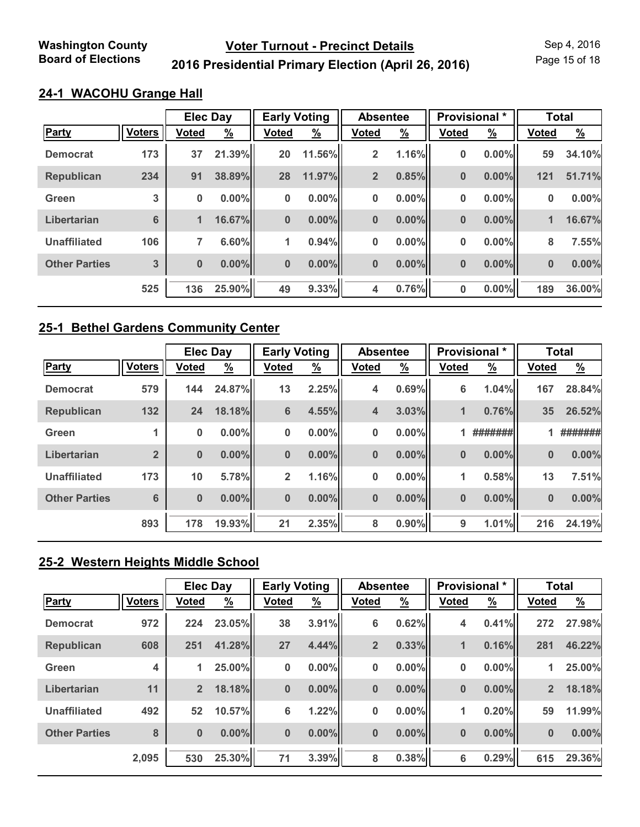Page 15 of 18

## **2016 Presidential Primary Election (April 26, 2016)**

## **24-1 WACOHU Grange Hall**

|                      |               | <b>Elec Day</b> |               | <b>Early Voting</b> |               | <b>Absentee</b> |               | Provisional * |               | <b>Total</b> |               |
|----------------------|---------------|-----------------|---------------|---------------------|---------------|-----------------|---------------|---------------|---------------|--------------|---------------|
| Party                | <b>Voters</b> | <b>Voted</b>    | $\frac{9}{6}$ | Voted               | $\frac{9}{6}$ | <b>Voted</b>    | $\frac{9}{6}$ | <b>Voted</b>  | $\frac{9}{6}$ | <b>Voted</b> | $\frac{9}{6}$ |
| <b>Democrat</b>      | 173           | 37              | 21.39%        | 20                  | 11.56%        | $\overline{2}$  | 1.16%         | 0             | 0.00%         | 59           | 34.10%        |
| <b>Republican</b>    | 234           | 91              | 38.89%        | 28                  | 11.97%        | $\overline{2}$  | 0.85%         | $\bf{0}$      | $0.00\%$      | 121          | 51.71%        |
| Green                | 3             | 0               | $0.00\%$      | $\bf{0}$            | $0.00\%$      | 0               | $0.00\%$      | 0             | 0.00%         | 0            | 0.00%         |
| Libertarian          | 6             | $\mathbf{1}$    | 16.67%        | $\bf{0}$            | $0.00\%$      | $\bf{0}$        | $0.00\%$      | $\bf{0}$      | 0.00%         | 1            | 16.67%        |
| <b>Unaffiliated</b>  | 106           | 7               | 6.60%         | 1                   | 0.94%         | 0               | $0.00\%$      | 0             | 0.00%         | 8            | 7.55%         |
| <b>Other Parties</b> | 3             | $\bf{0}$        | $0.00\%$      | $\bf{0}$            | $0.00\%$      | $\bf{0}$        | $0.00\%$      | 0             | 0.00%         | $\bf{0}$     | 0.00%         |
|                      | 525           | 136             | 25.90%        | 49                  | 9.33%         | 4               | 0.76%         | 0             | 0.00%         | 189          | 36.00%        |

#### **25-1 Bethel Gardens Community Center**

|                      |                 | <b>Elec Day</b> |               | <b>Early Voting</b> |               | <b>Absentee</b> |               |              | Provisional * |              | <b>Total</b>  |
|----------------------|-----------------|-----------------|---------------|---------------------|---------------|-----------------|---------------|--------------|---------------|--------------|---------------|
| <b>Party</b>         | <b>Voters</b>   | <b>Voted</b>    | $\frac{9}{6}$ | <b>Voted</b>        | $\frac{9}{6}$ | <b>Voted</b>    | $\frac{9}{6}$ | <b>Voted</b> | $\frac{9}{6}$ | <b>Voted</b> | $\frac{9}{6}$ |
| <b>Democrat</b>      | 579             | 144             | 24.87%        | 13                  | 2.25%         | 4               | 0.69%         | 6            | 1.04%         | 167          | 28.84%        |
| <b>Republican</b>    | 132             | 24              | 18.18%        | 6                   | 4.55%         | 4               | 3.03%         | 1            | 0.76%         | 35           | 26.52%        |
| Green                |                 | 0               | $0.00\%$      | $\bf{0}$            | 0.00%         | 0               | $0.00\%$      |              | #######       |              | #######       |
| Libertarian          | $\overline{2}$  | $\bf{0}$        | $0.00\%$      | $\bf{0}$            | $0.00\%$      | $\bf{0}$        | $0.00\%$      | $\bf{0}$     | $0.00\%$      | $\bf{0}$     | $0.00\%$      |
| <b>Unaffiliated</b>  | 173             | 10              | 5.78%         | $\overline{2}$      | 1.16%         | 0               | $0.00\%$      | 1            | 0.58%         | 13           | 7.51%         |
| <b>Other Parties</b> | $6\phantom{1}6$ | $\bf{0}$        | $0.00\%$      | $\bf{0}$            | $0.00\%$      | $\bf{0}$        | $0.00\%$      | 0            | $0.00\%$      | $\bf{0}$     | 0.00%         |
|                      | 893             | 178             | 19.93%        | 21                  | 2.35%         | 8               | $0.90\%$      | 9            | 1.01%         | 216          | 24.19%        |

## **25-2 Western Heights Middle School**

|                      |               | <b>Elec Day</b> |          | <b>Early Voting</b> |               | <b>Absentee</b> |               | Provisional * |               | <b>Total</b> |               |
|----------------------|---------------|-----------------|----------|---------------------|---------------|-----------------|---------------|---------------|---------------|--------------|---------------|
| Party                | <b>Voters</b> | <b>Voted</b>    | <u>%</u> | <b>Voted</b>        | $\frac{9}{6}$ | <b>Voted</b>    | $\frac{9}{6}$ | <b>Voted</b>  | $\frac{9}{6}$ | <b>Voted</b> | $\frac{9}{6}$ |
| <b>Democrat</b>      | 972           | 224             | 23.05%   | 38                  | 3.91%         | 6               | 0.62%         | 4             | 0.41%         | 272          | 27.98%        |
| <b>Republican</b>    | 608           | 251             | 41.28%   | 27                  | 4.44%         | $\overline{2}$  | 0.33%         | $\mathbf{1}$  | 0.16%         | 281          | 46.22%        |
| Green                | 4             | 1               | 25.00%   | 0                   | $0.00\%$      | 0               | 0.00%         | 0             | $0.00\%$      | 1            | 25.00%        |
| Libertarian          | 11            | $\overline{2}$  | 18.18%   | $\bf{0}$            | $0.00\%$      | $\bf{0}$        | 0.00%         | $\bf{0}$      | $0.00\%$      | $2^{\circ}$  | 18.18%        |
| <b>Unaffiliated</b>  | 492           | 52              | 10.57%   | 6                   | 1.22%         | 0               | 0.00%         | $\mathbf{1}$  | 0.20%         | 59           | 11.99%        |
| <b>Other Parties</b> | 8             | $\bf{0}$        | $0.00\%$ | $\bf{0}$            | $0.00\%$      | $\bf{0}$        | $0.00\%$      | $\bf{0}$      | $0.00\%$      | $\bf{0}$     | 0.00%         |
|                      | 2,095         | 530             | 25.30%   | 71                  | 3.39%         | 8               | 0.38%         | 6             | 0.29%         | 615          | 29.36%        |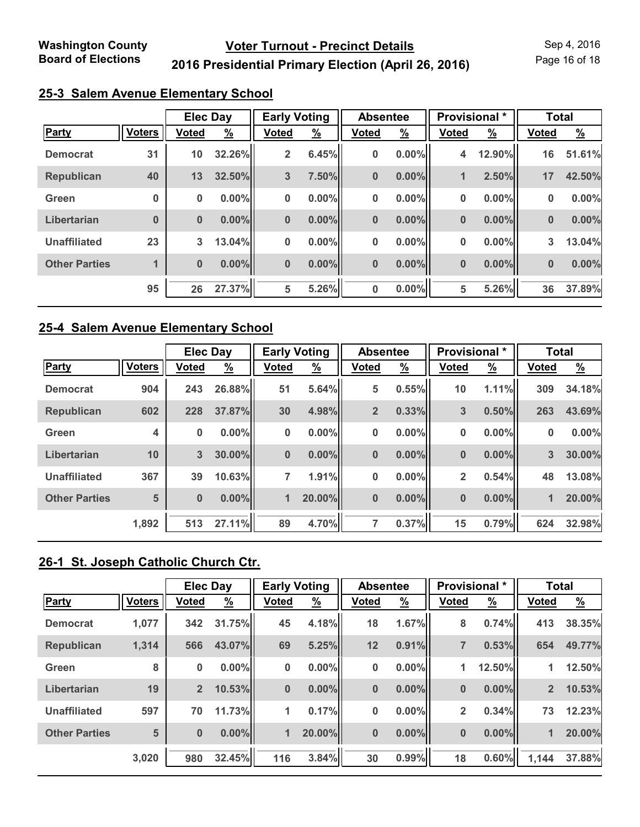Page 16 of 18

## **2016 Presidential Primary Election (April 26, 2016)**

| 25-3 Salem Avenue Elementary School |  |
|-------------------------------------|--|
|                                     |  |

|                      |               | <b>Elec Day</b> |               | <b>Early Voting</b> |               | <b>Absentee</b> |               | Provisional * |               | <b>Total</b> |               |
|----------------------|---------------|-----------------|---------------|---------------------|---------------|-----------------|---------------|---------------|---------------|--------------|---------------|
| Party                | <b>Voters</b> | <b>Voted</b>    | $\frac{9}{6}$ | <b>Voted</b>        | $\frac{9}{6}$ | <b>Voted</b>    | $\frac{9}{6}$ | <b>Voted</b>  | $\frac{9}{6}$ | <b>Voted</b> | $\frac{9}{6}$ |
| <b>Democrat</b>      | 31            | 10              | 32.26%        | $\overline{2}$      | 6.45%         | 0               | $0.00\%$      | 4             | 12.90%        | 16           | 51.61%        |
| <b>Republican</b>    | 40            | 13              | 32.50%        | 3                   | 7.50%         | $\bf{0}$        | $0.00\%$      | $\mathbf{1}$  | 2.50%         | 17           | 42.50%        |
| Green                | $\bf{0}$      | $\bf{0}$        | $0.00\%$      | $\bf{0}$            | $0.00\%$      | 0               | $0.00\%$      | 0             | $0.00\%$      | $\bf{0}$     | 0.00%         |
| Libertarian          | $\bf{0}$      | $\bf{0}$        | $0.00\%$      | $\bf{0}$            | 0.00%         | $\mathbf 0$     | $0.00\%$      | $\bf{0}$      | $0.00\%$      | $\bf{0}$     | 0.00%         |
| <b>Unaffiliated</b>  | 23            | $\mathbf{3}$    | 13.04%        | 0                   | $0.00\%$      | 0               | $0.00\%$      | 0             | $0.00\%$      | $\mathbf{3}$ | 13.04%        |
| <b>Other Parties</b> |               | $\bf{0}$        | $0.00\%$      | $\bf{0}$            | $0.00\%$      | $\bf{0}$        | $0.00\%$      | $\bf{0}$      | $0.00\%$      | $\bf{0}$     | 0.00%         |
|                      | 95            | 26              | 27.37%        | 5                   | 5.26%         | $\bf{0}$        | $0.00\%$      | 5             | 5.26%         | 36           | 37.89%        |

#### **25-4 Salem Avenue Elementary School**

|                      |               | <b>Elec Day</b> |          | <b>Early Voting</b> |               | <b>Absentee</b> |               | <b>Provisional</b> * |               | <b>Total</b> |               |
|----------------------|---------------|-----------------|----------|---------------------|---------------|-----------------|---------------|----------------------|---------------|--------------|---------------|
| Party                | <b>Voters</b> | <b>Voted</b>    | <u>%</u> | <b>Voted</b>        | $\frac{9}{6}$ | <b>Voted</b>    | $\frac{9}{6}$ | <b>Voted</b>         | $\frac{9}{6}$ | <b>Voted</b> | $\frac{9}{6}$ |
| <b>Democrat</b>      | 904           | 243             | 26.88%   | 51                  | 5.64%         | 5               | 0.55%         | 10                   | 1.11%         | 309          | 34.18%        |
| <b>Republican</b>    | 602           | 228             | 37.87%   | 30                  | 4.98%         | $\overline{2}$  | 0.33%         | 3                    | 0.50%         | 263          | 43.69%        |
| Green                | 4             | 0               | $0.00\%$ | $\bf{0}$            | 0.00%         | 0               | $0.00\%$      | 0                    | $0.00\%$      | 0            | 0.00%         |
| Libertarian          | 10            | 3               | 30.00%   | $\bf{0}$            | $0.00\%$      | $\bf{0}$        | $0.00\%$      | $\bf{0}$             | $0.00\%$      | 3            | 30.00%        |
| <b>Unaffiliated</b>  | 367           | 39              | 10.63%   | 7                   | 1.91%         | 0               | $0.00\%$      | $\overline{2}$       | 0.54%         | 48           | 13.08%        |
| <b>Other Parties</b> | 5             | $\bf{0}$        | $0.00\%$ | 1                   | 20.00%        | $\bf{0}$        | $0.00\%$      | $\bf{0}$             | $0.00\%$      | 1            | 20.00%        |
|                      | 1,892         | 513             | 27.11%   | 89                  | 4.70%         | 7               | 0.37%         | 15                   | 0.79%         | 624          | 32.98%        |

## **26-1 St. Joseph Catholic Church Ctr.**

|                      | <b>Elec Day</b> |                | <b>Early Voting</b> |              | <b>Absentee</b> |              | Provisional * |                | <b>Total</b>  |                |               |
|----------------------|-----------------|----------------|---------------------|--------------|-----------------|--------------|---------------|----------------|---------------|----------------|---------------|
| <b>Party</b>         | <b>Voters</b>   | <b>Voted</b>   | $\frac{9}{6}$       | <b>Voted</b> | $\frac{9}{6}$   | <b>Voted</b> | $\frac{9}{6}$ | <b>Voted</b>   | $\frac{9}{6}$ | <b>Voted</b>   | $\frac{9}{6}$ |
| <b>Democrat</b>      | 1,077           | 342            | 31.75%              | 45           | 4.18%           | 18           | 1.67%         | 8              | 0.74%         | 413            | 38.35%        |
| <b>Republican</b>    | 1,314           | 566            | 43.07%              | 69           | 5.25%           | 12           | 0.91%         | $\overline{7}$ | 0.53%         | 654            | 49.77%        |
| Green                | 8               | $\bf{0}$       | $0.00\%$            | 0            | $0.00\%$        | 0            | 0.00%         | $\mathbf{1}$   | 12.50%        | 1              | 12.50%        |
| Libertarian          | 19              | $\overline{2}$ | 10.53%              | $\bf{0}$     | $0.00\%$        | $\bf{0}$     | 0.00%         | $\bf{0}$       | $0.00\%$      | 2 <sup>2</sup> | 10.53%        |
| <b>Unaffiliated</b>  | 597             | 70             | 11.73%              | 1            | 0.17%           | 0            | 0.00%         | $\overline{2}$ | 0.34%         | 73             | 12.23%        |
| <b>Other Parties</b> | 5               | $\bf{0}$       | $0.00\%$            | 1            | 20.00%          | $\bf{0}$     | $0.00\%$      | $\bf{0}$       | $0.00\%$      | 1              | 20.00%        |
|                      | 3,020           | 980            | 32.45%              | 116          | 3.84%           | 30           | 0.99%         | 18             | 0.60%         | 1,144          | 37.88%        |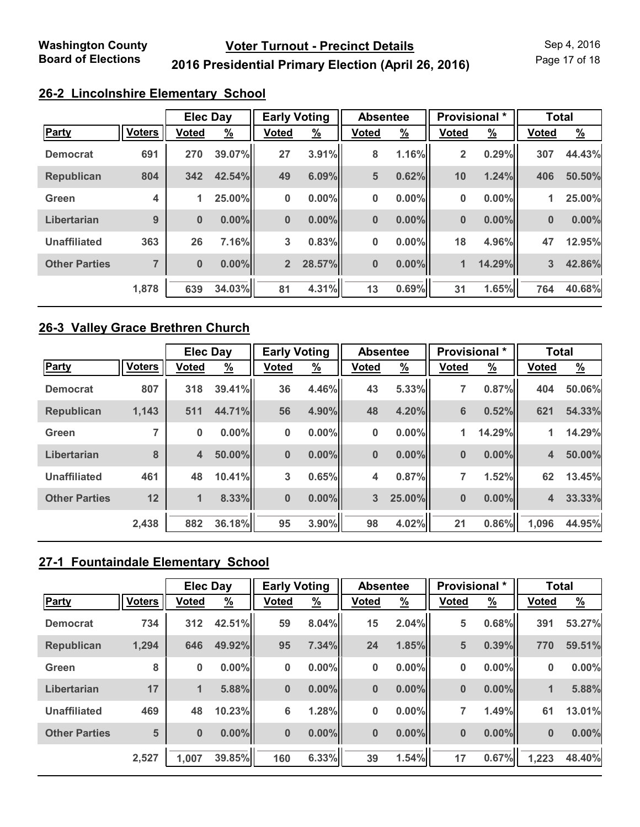Page 17 of 18

## **2016 Presidential Primary Election (April 26, 2016)**

### **26-2 Lincolnshire Elementary School**

|                      |                         | <b>Elec Day</b> |               | <b>Early Voting</b> |               | <b>Absentee</b> |               | <b>Provisional</b> * |               | <b>Total</b> |               |
|----------------------|-------------------------|-----------------|---------------|---------------------|---------------|-----------------|---------------|----------------------|---------------|--------------|---------------|
| Party                | <b>Voters</b>           | <b>Voted</b>    | $\frac{9}{6}$ | <b>Voted</b>        | $\frac{9}{6}$ | <b>Voted</b>    | $\frac{9}{6}$ | <b>Voted</b>         | $\frac{9}{6}$ | <b>Voted</b> | $\frac{9}{6}$ |
| <b>Democrat</b>      | 691                     | 270             | 39.07%        | 27                  | 3.91%         | 8               | 1.16%         | 2                    | 0.29%         | 307          | 44.43%        |
| <b>Republican</b>    | 804                     | 342             | 42.54%        | 49                  | 6.09%         | 5               | 0.62%         | 10                   | 1.24%         | 406          | 50.50%        |
| Green                | $\overline{\mathbf{4}}$ | 1               | 25.00%        | 0                   | $0.00\%$      | $\pmb{0}$       | 0.00%         | 0                    | $0.00\%$      | 1            | 25.00%        |
| Libertarian          | 9                       | $\bf{0}$        | $0.00\%$      | $\bf{0}$            | $0.00\%$      | $\bf{0}$        | $0.00\%$      | $\bf{0}$             | 0.00%         | $\bf{0}$     | 0.00%         |
| <b>Unaffiliated</b>  | 363                     | 26              | 7.16%         | 3                   | 0.83%         | 0               | 0.00%         | 18                   | 4.96%         | 47           | 12.95%        |
| <b>Other Parties</b> | $\overline{7}$          | $\bf{0}$        | $0.00\%$      | 2 <sup>2</sup>      | 28.57%        | $\bf{0}$        | $0.00\%$      | $\mathbf{1}$         | 14.29%        | 3            | 42.86%        |
|                      | 1,878                   | 639             | 34.03%        | 81                  | 4.31%         | 13              | 0.69%         | 31                   | 1.65%         | 764          | 40.68%        |

#### **26-3 Valley Grace Brethren Church**

|                      |               | <b>Elec Day</b> |          | <b>Early Voting</b> |               | <b>Absentee</b> |               | Provisional *   |               | <b>Total</b>            |          |
|----------------------|---------------|-----------------|----------|---------------------|---------------|-----------------|---------------|-----------------|---------------|-------------------------|----------|
| <b>Party</b>         | <b>Voters</b> | <b>Voted</b>    | <u>%</u> | <b>Voted</b>        | $\frac{9}{6}$ | <b>Voted</b>    | $\frac{9}{6}$ | <b>Voted</b>    | $\frac{9}{6}$ | <b>Voted</b>            | <u>%</u> |
| <b>Democrat</b>      | 807           | 318             | 39.41%   | 36                  | 4.46%         | 43              | 5.33%         | 7               | 0.87%         | 404                     | 50.06%   |
| <b>Republican</b>    | 1,143         | 511             | 44.71%   | 56                  | 4.90%         | 48              | 4.20%         | $6\phantom{1}6$ | 0.52%         | 621                     | 54.33%   |
| Green                |               | 0               | $0.00\%$ | $\bf{0}$            | $0.00\%$      | 0               | $0.00\%$      | $\mathbf{1}$    | 14.29%        | 1                       | 14.29%   |
| Libertarian          | 8             | $\overline{4}$  | 50.00%   | $\bf{0}$            | $0.00\%$      | $\bf{0}$        | $0.00\%$      | $\bf{0}$        | $0.00\%$      | $\overline{\mathbf{4}}$ | 50.00%   |
| <b>Unaffiliated</b>  | 461           | 48              | 10.41%   | 3                   | 0.65%         | 4               | 0.87%         | 7               | 1.52%         | 62                      | 13.45%   |
| <b>Other Parties</b> | 12            | $\mathbf{1}$    | 8.33%    | $\bf{0}$            | $0.00\%$      | $\overline{3}$  | 25.00%        | $\bf{0}$        | $0.00\%$      | $\overline{\mathbf{4}}$ | 33.33%   |
|                      | 2,438         | 882             | 36.18%   | 95                  | 3.90%         | 98              | 4.02%         | 21              | 0.86%         | 1,096                   | 44.95%   |

## **27-1 Fountaindale Elementary School**

|                      |               | <b>Elec Day</b> |          | <b>Early Voting</b> |               | <b>Absentee</b> |               | Provisional * |          | <b>Total</b> |               |  |
|----------------------|---------------|-----------------|----------|---------------------|---------------|-----------------|---------------|---------------|----------|--------------|---------------|--|
| <b>Party</b>         | <b>Voters</b> | <b>Voted</b>    | <u>%</u> | <b>Voted</b>        | $\frac{9}{6}$ | <b>Voted</b>    | $\frac{9}{6}$ | <b>Voted</b>  | <u>%</u> | <b>Voted</b> | $\frac{9}{6}$ |  |
| <b>Democrat</b>      | 734           | 312             | 42.51%   | 59                  | 8.04%         | 15              | 2.04%         | 5             | 0.68%    | 391          | 53.27%        |  |
| <b>Republican</b>    | 1,294         | 646             | 49.92%   | 95                  | 7.34%         | 24              | 1.85%         | 5             | 0.39%    | 770          | 59.51%        |  |
| Green                | 8             | 0               | $0.00\%$ | $\bf{0}$            | $0.00\%$      | 0               | 0.00%         | 0             | $0.00\%$ | $\bf{0}$     | 0.00%         |  |
| Libertarian          | 17            | $\blacksquare$  | 5.88%    | $\bf{0}$            | $0.00\%$      | $\bf{0}$        | $0.00\%$      | $\bf{0}$      | $0.00\%$ | 1            | 5.88%         |  |
| <b>Unaffiliated</b>  | 469           | 48              | 10.23%   | 6                   | 1.28%         | 0               | 0.00%         | 7             | 1.49%    | 61           | 13.01%        |  |
| <b>Other Parties</b> | 5             | $\bf{0}$        | $0.00\%$ | $\bf{0}$            | $0.00\%$      | $\bf{0}$        | $0.00\%$      | $\bf{0}$      | $0.00\%$ | $\bf{0}$     | 0.00%         |  |
|                      | 2,527         | 1,007           | 39.85%   | 160                 | 6.33%         | 39              | 1.54%         | 17            | 0.67%    | 1,223        | 48.40%        |  |